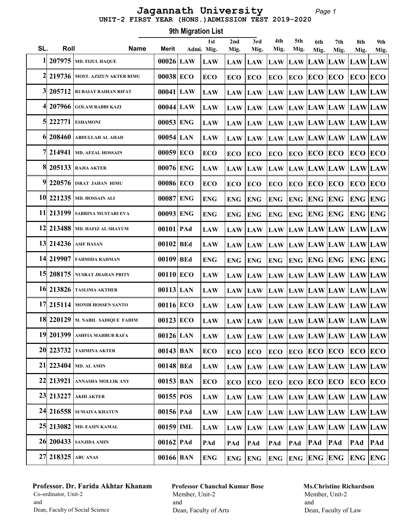#### Page 1 UNIT-2 FIRST YEAR (HONS.)ADMISSION TEST 2019-2020 Jagannath University

Roll Name Merit 1st SL. Roll Mame Merit Admi. Mig. 9th Migration List 2nd Mig. 3rd Mig. 4th Mig. 5th Mig. 6th Mig. 7th Mig. 8th Mig. 9th Mig.  $1\vert$  207975  $\vert$ md. fijul haque  $\vert$  00026 LAW  $\vert$  LAW  $\vert$  LAW  $\vert$  LAW  $\vert$  LAW  $\vert$  LAW  $\vert$  LAW  $\vert$  LAW  $\vert$  LAW  $\vert$  LAW  $\vert$  LAW  $\vert$  LAW  $\vert$  LAW  $\vert$  LAW  $\vert$  2 219736 MOST. AZIZUN AKTER RIMU 00038 ECO ECO ECO ECO ECO ECO ECO ECO ECO ECO 3 205712 RUBAIAT RAIHAN RIFAT  $\quad$  | 00041 LAW  $\rm\, LAW$   $\rm\, LAW$   $\rm\, LAW$   $\rm\, LAW$   $\rm\, LAW$   $\rm\, LAW$   $\rm\, LAW$   $\rm\, LAW$   $\rm\, LAW$  $4\vert$  207966  $\vert$ golam rabbi kazi $\vert$   $\vert$  00044 $\vert$  LAW  $\vert$  LAW  $\vert$   $\vert$  LAW  $\vert$  LAW  $\vert$  LAW  $\vert$  LAW  $\vert$  LAW  $\vert$  LAW  $\vert$  LAW  $\vert$  LAW  $\vert$  LAW  $\vert$  LAW  $\vert$  LAW  $\vert$  LAW  $\vert$  LAW  $\vert$ 5 222771 ESHAMONI  $|00053|$  ENG  $|$  LAW  $|$  LAW  $|$  LAW  $|$  LAW  $|$  LAW  $|$  LAW  $|$  LAW  $|$  LAW  $|$  LAW  $|$  LAW  $|$ 6 208460 ABDULLAH AL AHAD | 00054 LAN | LAW | LAW | LAW | LAW | LAW | LAW | LAW | LAW | LAW | LAW  $7$ | 214941 |md. afzal hossain  $-$  | 00059 ECO  $\,$  ECO  $\,$  ECO  $\,$  ECO  $\,$  ECO  $\,$  ECO  $\,$  ECO  $\,$  ECO  $\,$  ECO  $\,$  ECO 8 205133 RAJIA AKTER 00076 ENG LAW LAW LAW LAW LAW LAW LAW LAW LAW  $9$  220576 Israt jahan himu  $\qquad$  | 00086 ECO  $\,$  ECO  $\,$  ECO  $\,$  ECO  $\,$  ECO  $\,$  ECO  $\,$  ECO  $\,$  ECO  $\,$  ECO  $\,$  ECO 10 221235 MD. HOSSAIN ALI  $|00087|$  ENG  $|$  ENG  $|$  ENG  $|$  ENG  $|$  ENG  $|$  ENG  $|$  ENG  $|$  ENG  $|$  ENG  $|$  ENG 11 213199 SABRINA MUSTARI EVA  $|00093|$  ENG  $|$  ENG  $|$  ENG  $|$  ENG  $|$  ENG  $|$  ENG  $|$  ENG  $|$  ENG  $|$  ENG  $|$  ENG 12 213488 MD. HAFIZ AL SHAYUM | 00101 PAd | LAW | LAW | LAW | LAW | LAW | LAW | LAW | LAW | LAW | LAW 13 214236 ASIF HASAN | 00102 BEd | LAW | LAW | LAW | LAW | LAW | LAW | LAW | LAW | LAW | LAW | LAW 14 219907 FAHMIDA RAHMAN 00109 BEd ENG ENG ENG ENG ENG ENG ENG ENG ENG 15 208175 NUSRAT JHAHAN PRITY 00110 ECO LAW LAW LAW LAW LAW LAW LAW LAW LAW 16 213826 TASLIMA AKTHER 00113 LAN LAW LAW LAW LAW LAW LAW LAW LAW LAW 17 215114 MONIR HOSSEN SANTO 00116 ECO LAW LAW LAW LAW LAW LAW LAW LAW LAW 18 220129 M. NABIL SADIQUE FAHIM  $\parallel 00123\vert$  ECO  $\parallel$  LAW  $\parallel$  LAW  $\parallel$  LAW  $\parallel$  LAW  $\parallel$  LAW  $\parallel$  LAW  $\parallel$  LAW  $\parallel$  LAW  $\parallel$  LAW  $\parallel$ 19 201399 ASHFIA MAHBUB RAFA | 00126 LAN | LAW | LAW | LAW | LAW | LAW | LAW | LAW | LAW | LAW | LAW 20 223732 TAHMINA AKTER 00143 BAN ECO ECO ECO ECO ECO ECO ECO ECO ECO 21 223404 MD. AL AMIN  $|00148|$  BEd  $|LM|$  LAW  $|LM|$  LAW  $|LM|$  LAW  $|LM|$  LAW  $|LM|$  LAW  $|LM|$  22 213921 ANNASHA MOLLIK ANY 00153 BAN ECO ECO ECO ECO ECO ECO ECO ECO ECO 23 213227 AKHI AKTER 00155 POS LAW LAW LAW LAW LAW LAW LAW LAW LAW 24| 216558 |sumaiya khatun | 00156 | PAd | LAW | LAW | LAW | LAW | LAW | LAW | LAW | LAW | LAW | LAW | LAW | LAW | LAW | LAW | LAW | LAW | LAW | LAW | LAW | LAW | LAW | LAW | LAW | LAW | LAW | L 25 213082 MD. EASIN KAMAL  $|00159|$  IML  $|$  LAW  $|$  LAW  $|$  LAW  $|$  LAW  $|$  LAW  $|$  LAW  $|$  LAW  $|$  LAW  $|$  LAW  $|$  LAW  $|$  26 200433 SANJIDA AMIN 00162 PAd PAd PAd PAd PAd PAd PAd PAd PAd PAd 27 218325 ABU ANAS 00166 BAN ENG ENG ENG ENG ENG ENG ENG ENG ENG

### Professor. Dr. Farida Akhtar Khanam Co-ordinator, Unit-2 and Dean, Faculty of Social Science

# Professor Chanchal Kumar Bose Member, Unit-2 and Dean, Faculty of Arts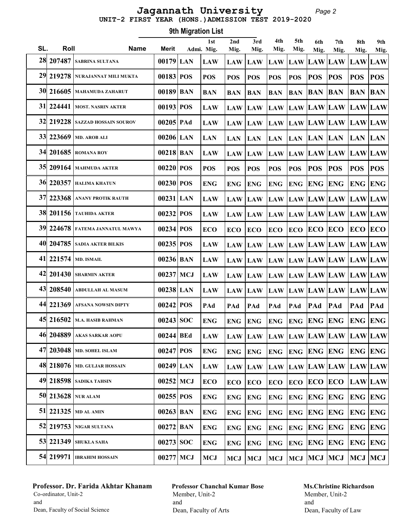Page 2 UNIT-2 FIRST YEAR (HONS.)ADMISSION TEST 2019-2020 Jagannath University

|     | 9th Migration List |                                       |             |  |                   |             |                                     |             |             |                    |                                 |                |             |  |
|-----|--------------------|---------------------------------------|-------------|--|-------------------|-------------|-------------------------------------|-------------|-------------|--------------------|---------------------------------|----------------|-------------|--|
| SL. | Roll               | <b>Name</b>                           | Merit       |  | 1st<br>Admi. Mig. | 2nd<br>Mig. | 3rd<br>Mig.                         | 4th<br>Mig. | 5th<br>Mig. | 6th<br>Mig.        | 7th<br>Mig.                     | 8th<br>Mig.    | 9th<br>Mig. |  |
|     | 28 207487          | <b>SABRINA SULTANA</b>                | $00179$ LAN |  | <b>LAW</b>        | <b>LAW</b>  | LAW LAW                             |             | <b>LAW</b>  | LAW LAW            |                                 | LAW LAW        |             |  |
|     | 29 219 278         | NURAJANNAT MILI MUKTA                 | 00183 POS   |  | <b>POS</b>        | <b>POS</b>  | <b>POS</b>                          | <b>POS</b>  | <b>POS</b>  | <b>POS</b>         | <b>POS</b>                      | <b>POS</b>     | <b>POS</b>  |  |
|     | 30 216605          | <b>MAHAMUDA ZAHARUT</b>               | $00189$ BAN |  | <b>BAN</b>        | <b>BAN</b>  | <b>BAN</b>                          | <b>BAN</b>  | <b>BAN</b>  | <b>BAN</b>         | <b>BAN</b>                      | <b>BAN</b>     | <b>BAN</b>  |  |
| 31  | 224441             | <b>MOST. NASRIN AKTER</b>             | 00193 POS   |  | <b>LAW</b>        | <b>LAW</b>  | <b>LAW</b>                          | <b>LAW</b>  | <b>LAW</b>  |                    | LAW LAW LAW LAW                 |                |             |  |
|     | 32 219228          | <b>SAZZAD HOSSAIN SOUROV</b>          | 00205 PAd   |  | <b>LAW</b>        | <b>LAW</b>  | <b>LAW</b>                          | <b>LAW</b>  |             |                    | LAW LAW LAW LAW LAW             |                |             |  |
|     | 33 223669          | <b>MD. AROB ALI</b>                   | 00206 LAN   |  | <b>LAN</b>        | <b>LAN</b>  | <b>LAN</b>                          | <b>LAN</b>  | <b>LAN</b>  | <b>LAN</b>         | <b>LAN</b>                      | <b>LAN LAN</b> |             |  |
|     | 34 201685          | <b>ROMANA ROY</b>                     | $00218$ BAN |  | <b>LAW</b>        | <b>LAW</b>  | <b>LAW</b>                          | <b>LAW</b>  | <b>LAW</b>  |                    | LAW LAW LAW LAW                 |                |             |  |
|     | 35 209164          | <b>MAHMUDA AKTER</b>                  | 00220 POS   |  | <b>POS</b>        | <b>POS</b>  | <b>POS</b>                          | <b>POS</b>  | <b>POS</b>  | <b>POS</b>         | <b>POS</b>                      | <b>POS</b>     | <b>POS</b>  |  |
|     |                    | <b>36 220357 HALIMA KHATUN</b>        | 00230 POS   |  | <b>ENG</b>        | <b>ENG</b>  | <b>ENG</b>                          | <b>ENG</b>  | <b>ENG</b>  | <b>ENG ENG</b>     |                                 | <b>ENG ENG</b> |             |  |
|     |                    | 37 223368 ANANY PROTIK RAUTH          | $00231$ LAN |  | <b>LAW</b>        | <b>LAW</b>  | LAW LAW                             |             |             |                    | LAW LAW LAW LAW LAW             |                |             |  |
|     |                    | <b>38 201156 TAUHIDA AKTER</b>        | 00232 POS   |  | <b>LAW</b>        | <b>LAW</b>  | <b>LAW</b>                          | <b>LAW</b>  |             |                    | LAW LAW LAW LAW LAW             |                |             |  |
|     | 39 224 678         | <b>FATEMA JANNATUL MAWYA</b>          | 00234 POS   |  | <b>ECO</b>        | <b>ECO</b>  | <b>ECO</b>                          | <b>ECO</b>  | <b>ECO</b>  | <b>ECO ECO</b>     |                                 | <b>ECO ECO</b> |             |  |
|     | 40 204785          | <b>SADIA AKTER BILKIS</b>             | 00235 POS   |  | <b>LAW</b>        | <b>LAW</b>  | <b>LAW</b>                          | <b>LAW</b>  |             |                    | LAW  LAW  LAW  LAW  LAW         |                |             |  |
|     | 41 221574          | <b>MD. ISMAIL</b>                     | $00236$ BAN |  | <b>LAW</b>        | <b>LAW</b>  |                                     |             |             |                    | LAW LAW LAW LAW LAW LAW LAW     |                |             |  |
| 42  | 201430             | <b>SHARMIN AKTER</b>                  | $00237$ MCJ |  | <b>LAW</b>        | <b>LAW</b>  |                                     |             |             |                    | LAW LAW LAW LAW LAW LAW LAW LAW |                |             |  |
|     | 43 208540          | <b>ABDULLAH AL MASUM</b>              | $00238$ LAN |  | <b>LAW</b>        | <b>LAW</b>  | LAW LAW                             |             |             |                    | LAW LAW LAW LAW LAW             |                |             |  |
|     | 44 221369          | <b>AFSANA NOWSIN DIPTY</b>            | 00242 POS   |  | PAd               | PAd         | PAd                                 | PAd         | PAd         | PAd                | PAd                             | PAd            | PAd         |  |
|     |                    | 45 216502 M.A. HASIB RAHMAN           | 00243 SOC   |  | <b>ENG</b>        |             | ENG ENG ENG ENG ENG ENG             |             |             |                    |                                 | <b>ENG ENG</b> |             |  |
|     | 46 204889          | <b>AKAS SARKAR AOPU</b>               | 00244 BEd   |  | <b>LAW</b>        |             | LAW LAW LAW LAW LAW LAW LAW LAW LAW |             |             |                    |                                 |                |             |  |
|     |                    | 47 203048   MD. SOHEL ISLAM           | $00247$ POS |  | <b>ENG</b>        | <b>ENG</b>  | <b>ENG</b>                          | <b>ENG</b>  |             | <b>ENG ENG ENG</b> |                                 | <b>ENG ENG</b> |             |  |
|     |                    | <b>48 218076   MD. GULJAR HOSSAIN</b> | $00249$ LAN |  | <b>LAW</b>        | <b>LAW</b>  |                                     |             |             |                    | LAW LAW LAW LAW LAW LAW LAW LAW |                |             |  |
|     |                    | <b>49 218598</b> SADIKA TAHSIN        | $00252$ MCJ |  | <b>ECO</b>        | <b>ECO</b>  | <b>ECO</b>                          | <b>ECO</b>  |             |                    | <b>ECO ECO ECO LAWLAW</b>       |                |             |  |
|     |                    | 50 213628 NUR ALAM                    | $00255$ POS |  | <b>ENG</b>        | <b>ENG</b>  | <b>ENG</b>                          | <b>ENG</b>  | <b>ENG</b>  |                    | <b>ENG ENG ENG ENG</b>          |                |             |  |
|     |                    | 51 221325 MD AL AMIN                  | $00263$ BAN |  | <b>ENG</b>        | <b>ENG</b>  | <b>ENG</b>                          | <b>ENG</b>  | <b>ENG</b>  | <b>ENG ENG</b>     |                                 | <b>ENG ENG</b> |             |  |
|     |                    | 52 219753 NIGAR SULTANA               | $00272$ BAN |  | <b>ENG</b>        | <b>ENG</b>  | <b>ENG</b>                          | <b>ENG</b>  | <b>ENG</b>  | <b>ENG ENG</b>     |                                 | <b>ENG ENG</b> |             |  |
|     | 53 221349          | <b>SHUKLA SAHA</b>                    | $00273$ SOC |  | <b>ENG</b>        | ENG         | <b>ENG</b>                          | <b>ENG</b>  | <b>ENG</b>  | <b>ENG ENG</b>     |                                 | <b>ENG ENG</b> |             |  |
|     | 54 219971          | <b>IBRAHIM HOSSAIN</b>                | 00277 MCJ   |  | <b>MCJ</b>        | MCJ         | <b>MCJ</b>                          | <b>MCJ</b>  |             | MCJ MCJ MCJ        |                                 | MCJ MCJ        |             |  |

# Professor. Dr. Farida Akhtar Khanam Co-ordinator, Unit-2 and Dean, Faculty of Social Science

# Professor Chanchal Kumar Bose Member, Unit-2 and Dean, Faculty of Arts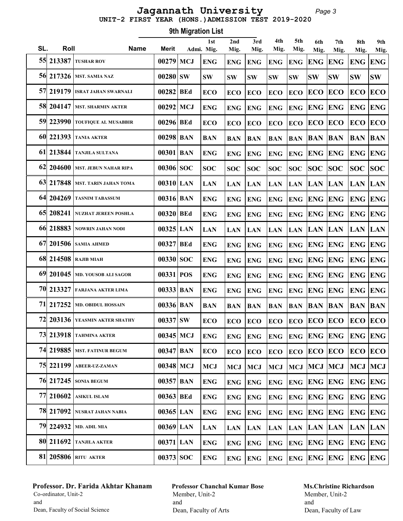Page 3 UNIT-2 FIRST YEAR (HONS.)ADMISSION TEST 2019-2020 Jagannath University

|           | <b>9th Migration List</b> |                                |              |  |                   |             |             |             |             |                    |                             |                    |                    |
|-----------|---------------------------|--------------------------------|--------------|--|-------------------|-------------|-------------|-------------|-------------|--------------------|-----------------------------|--------------------|--------------------|
| SL.       | Roll                      | <b>Name</b>                    | <b>Merit</b> |  | 1st<br>Admi. Mig. | 2nd<br>Mig. | 3rd<br>Mig. | 4th<br>Mig. | 5th<br>Mig. | 6th                | 7th                         | 8th                | 9th                |
| 55        | 213387                    | <b>TUSHAR ROY</b>              | 00279 MCJ    |  | <b>ENG</b>        | <b>ENG</b>  | <b>ENG</b>  | <b>ENG</b>  | <b>ENG</b>  | Mig.<br><b>ENG</b> | Mig.<br><b>ENG</b>          | Mig.<br><b>ENG</b> | Mig.<br><b>ENG</b> |
| 56        |                           | 217326 MST. SAMIA NAZ          | $00280$ SW   |  | <b>SW</b>         | <b>SW</b>   | <b>SW</b>   | <b>SW</b>   | <b>SW</b>   | <b>SW</b>          | <b>SW</b>                   | <b>SW</b>          | <b>SW</b>          |
| 57        | 219179                    | <b>ISRAT JAHAN SWARNALI</b>    | 00282 BEd    |  | <b>ECO</b>        | <b>ECO</b>  | <b>ECO</b>  | <b>ECO</b>  | <b>ECO</b>  | ECO                | <b>ECO</b>                  | <b>ECO</b>         | ECO                |
| 58        | 204147                    | <b>MST. SHARMIN AKTER</b>      | $00292$ MCJ  |  | <b>ENG</b>        | <b>ENG</b>  | <b>ENG</b>  | <b>ENG</b>  | <b>ENG</b>  | <b>ENG</b>         | <b>ENG</b>                  | <b>ENG</b>         | <b>ENG</b>         |
|           | 59 223990                 | <b>TOUFIQUE AL MUSABBIR</b>    | 00296 BEd    |  | <b>ECO</b>        | <b>ECO</b>  | <b>ECO</b>  | <b>ECO</b>  | <b>ECO</b>  | <b>ECO</b>         | <b>ECO</b>                  | <b>ECO</b>         | ECO                |
|           | 60 221393                 | <b>TANIA AKTER</b>             | 00298 BAN    |  | <b>BAN</b>        | <b>BAN</b>  | <b>BAN</b>  | <b>BAN</b>  | <b>BAN</b>  | <b>BAN</b>         | <b>BAN</b>                  | <b>BAN</b>         | <b>BAN</b>         |
| <b>61</b> | 213844                    | <b>TANJILA SULTANA</b>         | 00301 BAN    |  | <b>ENG</b>        | <b>ENG</b>  | <b>ENG</b>  | <b>ENG</b>  | <b>ENG</b>  | <b>ENG</b>         | <b>ENG</b>                  | <b>ENG ENG</b>     |                    |
| <b>62</b> | 204600                    | <b>MST. JEBUN NAHAR RIPA</b>   | 00306 SOC    |  | <b>SOC</b>        | <b>SOC</b>  | <b>SOC</b>  | <b>SOC</b>  | <b>SOC</b>  | <b>SOC</b>         | <b>SOC</b>                  | <b>SOC</b>         | SOC                |
| 63        | 217848                    | <b>MST. TARIN JAHAN TOMA</b>   | $00310$ LAN  |  | <b>LAN</b>        | <b>LAN</b>  | <b>LAN</b>  | <b>LAN</b>  | <b>LAN</b>  | <b>LAN LAN</b>     |                             | <b>LAN</b>         | <b>LAN</b>         |
|           | 64 204269                 | <b>TASNIM TABASSUM</b>         | $00316$ BAN  |  | <b>ENG</b>        | <b>ENG</b>  | <b>ENG</b>  | <b>ENG</b>  | <b>ENG</b>  | ENG                | <b>ENG</b>                  | <b>ENG</b>         | <b>ENG</b>         |
|           | 65 208241                 | <b>NUZHAT JEREEN POSHLA</b>    | 00320 BEd    |  | <b>ENG</b>        | <b>ENG</b>  | <b>ENG</b>  | <b>ENG</b>  | <b>ENG</b>  | <b>ENG ENG</b>     |                             | <b>ENG ENG</b>     |                    |
|           | 66 218883                 | <b>NOWRIN JAHAN NODI</b>       | $00325$ LAN  |  | <b>LAN</b>        | <b>LAN</b>  | <b>LAN</b>  | <b>LAN</b>  | <b>LAN</b>  | <b>LAN LAN</b>     |                             | <b>LAN</b>         | <b>LAN</b>         |
| <b>67</b> | 201506                    | <b>SAMIA AHMED</b>             | 00327 BEd    |  | <b>ENG</b>        | <b>ENG</b>  | <b>ENG</b>  | <b>ENG</b>  | <b>ENG</b>  | ENG                | <b>ENG</b>                  | <b>ENG ENG</b>     |                    |
|           | 68 214508                 | <b>RAJIB MIAH</b>              | $00330$  SOC |  | <b>ENG</b>        | <b>ENG</b>  | <b>ENG</b>  | <b>ENG</b>  | <b>ENG</b>  | ENG                | <b>ENG</b>                  | <b>ENG ENG</b>     |                    |
| 69        | 201045                    | <b>MD. YOUSOB ALI SAGOR</b>    | 00331 POS    |  | <b>ENG</b>        | <b>ENG</b>  | <b>ENG</b>  | <b>ENG</b>  | <b>ENG</b>  | <b>ENG ENG</b>     |                             | <b>ENG</b>         | <b>ENG</b>         |
| 70        | 213327                    | <b>FARJANA AKTER LIMA</b>      | $00333$ BAN  |  | <b>ENG</b>        | <b>ENG</b>  | <b>ENG</b>  | <b>ENG</b>  | <b>ENG</b>  | <b>ENG ENG</b>     |                             | <b>ENG</b>         | <b>ENG</b>         |
| 71        | 217252                    | <b>MD. OBIDUL HOSSAIN</b>      | $00336$ BAN  |  | <b>BAN</b>        | <b>BAN</b>  | <b>BAN</b>  | <b>BAN</b>  | <b>BAN</b>  | <b>BAN BAN</b>     |                             | <b>BAN</b>         | <b>BAN</b>         |
|           |                           | 72 203136 YEASMIN AKTER SHATHY | $00337$ SW   |  | <b>ECO</b>        | <b>ECO</b>  | <b>ECO</b>  |             |             |                    | ECO ECO ECO ECO ECO ECO ECO |                    |                    |
|           | 73 213918                 | <b>TAHMINA AKTER</b>           | 00345 MCJ    |  | <b>ENG</b>        | <b>ENG</b>  | <b>ENG</b>  | <b>ENG</b>  |             |                    | <b>ENG ENG ENG ENG ENG</b>  |                    |                    |
|           |                           | 74 219885   MST. FATINUR BEGUM | $00347$ BAN  |  | ECO               | ECO         | <b>ECO</b>  | <b>ECO</b>  |             | <b>ECO ECO ECO</b> |                             | <b>ECO ECO</b>     |                    |
|           | 75 221199                 | <b>ABEER-UZ-ZAMAN</b>          | 00348 MCJ    |  | MCJ               | MCJ         | <b>MCJ</b>  | <b>MCJ</b>  |             | MCJ MCJ MCJ        |                             | MCJ MCJ            |                    |
|           |                           | 76 217245 SONIA BEGUM          | $00357$ BAN  |  | <b>ENG</b>        | <b>ENG</b>  | <b>ENG</b>  | <b>ENG</b>  |             | <b>ENG ENG ENG</b> |                             | <b>ENG ENG</b>     |                    |
| 77        | 210602                    | <b>ASIKUL ISLAM</b>            | 00363 BEd    |  | <b>ENG</b>        | <b>ENG</b>  | <b>ENG</b>  | <b>ENG</b>  |             | <b>ENG ENG ENG</b> |                             | <b>ENG ENG</b>     |                    |
|           | 78 217092                 | NUSRAT JAHAN NABIA             | 00365 LAN    |  | <b>ENG</b>        | <b>ENG</b>  | <b>ENG</b>  | <b>ENG</b>  |             | <b>ENG ENG ENG</b> |                             | <b>ENG ENG</b>     |                    |
|           | 79 224932                 | <b>MD. ADIL MIA</b>            | $00369$ LAN  |  | <b>LAN</b>        | LAN         | LAN         | <b>LAN</b>  | <b>LAN</b>  | LAN LAN            |                             | <b>LAN LAN</b>     |                    |
|           | 80 211692                 | <b>TANJILA AKTER</b>           | 00371 LAN    |  | <b>ENG</b>        | <b>ENG</b>  | <b>ENG</b>  | <b>ENG</b>  |             | <b>ENG ENG ENG</b> |                             | <b>ENG ENG</b>     |                    |
|           |                           | 81 205806 RITU AKTER           | $00373$ SOC  |  | <b>ENG</b>        | <b>ENG</b>  | <b>ENG</b>  | <b>ENG</b>  |             | <b>ENG ENG ENG</b> |                             | <b>ENG ENG</b>     |                    |

# Professor. Dr. Farida Akhtar Khanam Co-ordinator, Unit-2 and Dean, Faculty of Social Science

Professor Chanchal Kumar Bose Member, Unit-2 and Dean, Faculty of Arts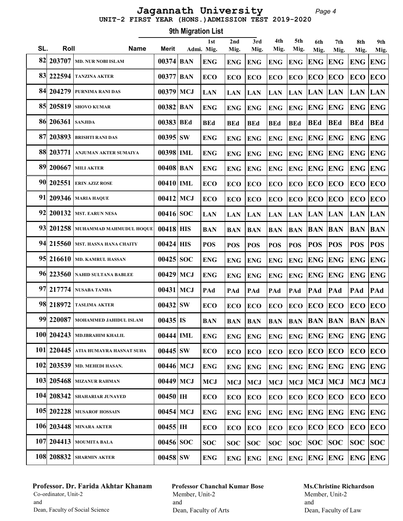#### Page 4 UNIT-2 FIRST YEAR (HONS.)ADMISSION TEST 2019-2020 Jagannath University

Roll Name Merit 1st SL. Roll Mame Merit Admi. Mig. 9th Migration List 2nd Mig. 3rd Mig. 4th Mig. 5th Mig. 6th Mig. 7th Mig. 8th Mig. 9th Mig. 82 203707 MD. NUR NOBI ISLAM 00374 BAN ENG ENG ENG ENG ENG ENG ENG ENG ENG  $\frac{83}{222594}$  tanzina akter  $\frac{1}{00377}$  BAN  $\frac{1}{2}$  ECO  $\frac{1}{2}$ ECO  $\frac{1}{2}$ ECO  $\frac{1}{2}$ ECO  $\frac{1}{2}$ ECO  $\frac{1}{2}$ ECO  $\frac{1}{2}$ ECO 84 204279 PURNIMA RANI DAS  $|00379|$  MCJ  $|$  LAN  $|$  LAN  $|$  LAN  $|$  LAN  $|$  LAN  $|$  LAN  $|$  LAN  $|$  LAN  $|$  LAN  $|$  LAN  $|$  LAN  $|$  LAN  $|$  85 205819 SHOVO KUMAR 00382 BAN ENG ENG ENG ENG ENG ENG ENG ENG ENG 86| 206361 |SANJIDA | 00383 | BEd | BEd | BEd | BEd | BEd | BEd | BEd | BEd | BEd | BEd | BEd  $\frac{87}{203893}$  Brishti rani das  $\frac{1}{20395}$  SW  $\frac{1}{2008}$  Eng  $\frac{1}{200}$  Eng  $\frac{1}{200}$  Eng  $\frac{1}{200}$  Eng  $\frac{1}{200}$  Eng  $\frac{1}{200}$  88 203771 ANJUMAN AKTER SUMAIYA 00398 IML ENG ENG ENG ENG ENG ENG ENG ENG ENG 89 200667 MILI AKTER 00408 BAN ENG ENG ENG ENG ENG ENG ENG ENG ENG 90 202551 ERIN AZIZ ROSE 00410 IML ECO ECO ECO ECO ECO ECO ECO ECO ECO 91 209346 MARIA HAQUE 00412 MCJ ECO ECO ECO ECO ECO ECO ECO ECO ECO 92 200132 MST. EARUN NESA 00416 SOC LAN LAN LAN LAN LAN LAN LAN LAN LAN 93 201258 MUHAMMAD MAHMUDUL HOQUE 00418 HIS BAN BAN BAN BAN BAN BAN BAN BAN BAN 94 215560 MST. HASNA HANA CHAITY  $\parallel$  00424 HIS  $\parallel$  pos  $\parallel$  pos  $\parallel$  pos  $\parallel$  pos  $\parallel$  pos  $\parallel$  pos  $\parallel$  pos  $\parallel$  pos  $\parallel$  pos  $\parallel$  pos  $\parallel$  pos  $\parallel$  pos  $\parallel$ 95 216610 | md. kamrul hassan  $|$  00425  $\rm{SOC}$   $\rm{ENG}$   $\rm{ENG}$   $\rm{ENG}$   $\rm{ENG}$   $\rm{ENG}$   $\rm{ENG}$   $\rm{ENG}$   $\rm{ENG}$ 96 223560 | nahid sultana bablee  $-$  | 00429 | MCJ | ENG | ENG | ENG | ENG | ENG | ENG | ENG | ENG | ENG | ENG 97 217774 NUSABA TANHA | 00431 MCJ |PAd |PAd |PAd |PAd |PAd |PAd |PAd |PAd 98 218972 | taslima akter | 00432 SW | eco | eco | eco | eco | eco | eco | eco | eco | eco 99 220087 MOHAMMED JAHIDUL ISLAM 00435 IS BAN BAN BAN BAN BAN BAN BAN BAN BAN 100 204243 MD.IBRAHIM KHALIL  $\parallel$  00444 ML  $\parallel$  eng  $\parallel$  eng  $\parallel$  eng  $\parallel$  eng  $\parallel$  eng  $\parallel$  eng  $\parallel$  eng  $\parallel$  eng  $\parallel$  eng  $\parallel$  eng  $\parallel$ 101 220445 ATIA HUMAYRA HASNAT SUHA | 00445 SW | ECO | ECO | ECO | ECO | ECO | ECO | ECO | ECO | ECO | ECO 102 203539 MD. MEHEDI HASAN.  $|00446|$  MCJ  $|$  ENG  $|$  ENG  $|$  ENG  $|$  ENG  $|$  ENG  $|$  ENG  $|$  ENG  $|$  ENG  $|$  ENG  $|$  ENG 103| 205468 | MIZANUR RAHMAN | 00449 | MCJ | MCJ | MCJ | MCJ | MCJ | MCJ | MCJ | MCJ | MCJ | MCJ 104 208342 SHAHARIAR JUNAYED  $|00450|$  IH  $|ECO|$   $|ECO|$   $|ECO|$   $|ECO|$   $|ECO|$   $|ECO|$   $|ECO|$ 105| 202228 | musarof hossain | 00454 | MCJ | ENG | ENG | ENG | ENG | ENG | ENG | ENG | ENG | ENG | ENG 106 203448 MINARA AKTER  $|00455|$  IH  $|ECO|ECO|ECO|ECO|ECO|ECO|ECO|ECO$ 107 204413 MOUMITA BALA  $|00456|SC|SC|SC$   $|SC|SC$   $|SC|SC$   $|SC$   $|SC|SC$   $|SC|SC$ 108| 208832 |sharmin akter  $|$  00458  $|{\rm sw}|$   $|{\rm eng}|$   ${\rm eng}|$   ${\rm eng}|$   ${\rm eng}|$   ${\rm eng}|$   ${\rm eng}|$   ${\rm eng}|$   ${\rm eng}|$   ${\rm eng}|$   ${\rm eng}|$ 

### Professor. Dr. Farida Akhtar Khanam Co-ordinator, Unit-2 and Dean, Faculty of Social Science

# Professor Chanchal Kumar Bose Member, Unit-2 and Dean, Faculty of Arts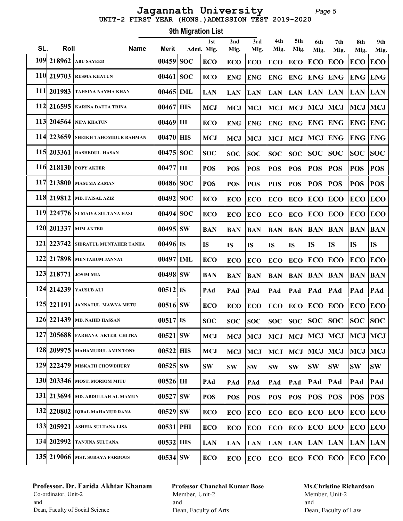#### Page 5 UNIT-2 FIRST YEAR (HONS.)ADMISSION TEST 2019-2020 Jagannath University

Roll Name Merit 1st SL. Roll Mame Merit Admi. Mig. 9th Migration List 2nd Mig. 3rd Mig. 4th Mig. 5th Mig. 6th Mig. 7th Mig. 8th Mig. 9th Mig. 109 218962 ABU SAYEED 00459 SOC ECO ECO ECO ECO ECO ECO ECO ECO ECO 110 219703 RESMA KHATUN 100461 SOC ECO ENG ENG ENG ENG ENG ENG ENG ENG ENG 111| 201983 | tahsina nayma khan | 00465 | IML | LAN | LAN | LAN |LAN |LAN |LAN |LAN |LAN |LAN |LAN 112 216595 KARINA DATTA TRINA 00467 HIS MCJ MCJ MCJ MCJ MCJ MCJ MCJ MCJ MCJ 113 204564 NIPA KHATUN  $|00469|$  IH  $|ECO|$  ENG  $|ENG|$  ENG  $|ENG|$  ENG  $|ENG|$  ENG  $|ENG|$  ENG 114 223659 SHEIKH TAHOMIDUR RAHMAN | 00470 HIS MCJ MCJ MCJ MCJ MCJ MCJ MCJ ENG ENG ENG 115 203361 RASHEDUL HASAN  $|00475|SC|SC$   $|SC|SC$   $|SC|SC$   $|SC$   $|SC|SC$   $|SOC|SC$   $|SOC|SC$ 116 218130 POPY AKTER  $|00477|$  IH  $|pos|$  POS  $|pos|$  POS  $|pos|$  POS  $|pos|$  POS  $|pos|$  117 213800 MASUMA ZAMAN 00486 SOC POS POS POS POS POS POS POS POS POS 118 219812 MD. FAISAL AZIZ  $|00492|SC|ECO|ECO|ECO|ECO|ECO|ECO|ECO|ECO|ECO$ 119 224776 SUMAIYA SULTANA HASI  $|00494|$  SOC  $|$  ECO  $|$  ECO  $|$  ECO  $|$  ECO  $|$  ECO  $|$  ECO  $|$  ECO  $|$  ECO  $|$  ECO 120 201337 MIM AKTER 00495 SW BAN BAN BAN BAN BAN BAN BAN BAN BAN 121 223742 SIDRATUL MUNTAHER TANHA  $\mid$  00496 IS IS IS IS IS IS IS IS IS IS IS 122 217898 MENTAHUM JANNAT 00497 IML ECO ECO ECO ECO ECO ECO ECO ECO ECO 123 218771 JOSIM MIA 00498 SW BAN BAN BAN BAN BAN BAN BAN BAN BAN 124 214239 YAUSUB ALI 00512 IS PAd PAd PAd PAd PAd PAd PAd PAd PAd 125 221191 JANNATUL MAWYA METU  $\parallel$  00516 SW  $\parallel$  ECO  $\parallel$  ECO  $\parallel$  ECO  $\parallel$  ECO  $\parallel$  ECO  $\parallel$  ECO  $\parallel$  ECO  $\parallel$  ECO 126 221439 MD. NAHID HASSAN  $|00517|$  IS  $|$  SOC  $|$  SOC  $|$  SOC  $|$  SOC  $|$  SOC  $|$  SOC  $|$  SOC  $|$  SOC  $|$  SOC 127 205688 FARHANA AKTER CHITRA | 00521 SW | MCJ | MCJ | MCJ | MCJ | MCJ | MCJ | MCJ | MCJ | MCJ | MCJ 128 209975 MAHAMUDUL AMIN TONY | 00522 HIS | MCJ | MCJ | MCJ | MCJ | MCJ | MCJ | MCJ | MCJ | MCJ | MCJ 129 222479 MISKATH CHOWDHURY  $\vert$  00525 SW  $\vert$  SW  $\vert$  SW  $\vert$  SW  $\vert$  SW  $\vert$  SW  $\vert$  SW  $\vert$  SW  $\vert$  SW  $\vert$  SW 130 203346 MOST. MORIOM MITU 00526 IH PAd PAd PAd PAd PAd PAd PAd PAd PAd 131 213694 MD. ABDULLAH AL MAMUN | 00527 SW | POS | POS | POS | POS | POS | POS | POS | POS | POS | POS 132 220802 | IQBAL MAHAMUD RANA  $|$  00529 SW  $|$  ECO  $|$ eco  $|$ eco  $|$ eco  $|$ eco  $|$ eco  $|$ eco  $|$ eco  $|$ eco  $|$ eco 133 205921 ASHFIA SULTANA LISA  $|00531|$  PHI  $|ECO|$   $|ECO|$   $|ECO|$   $|ECO|$   $|ECO|$   $|ECO|$   $|ECO|$ 134 202992 TANJINA SULTANA  $|00532|$  HIS  $|$  LAN  $|$  LAN  $|$  LAN  $|$  LAN  $|$  LAN  $|$  LAN  $|$  LAN  $|$  LAN  $|$  LAN  $|$  LAN  $|$  LAN  $|$  LAN  $|$ 135 219066 MST. SURAYA FARDOUS 00534 SW ECO ECO ECO ECO ECO ECO ECO ECO ECO

### Professor. Dr. Farida Akhtar Khanam Co-ordinator, Unit-2 and Dean, Faculty of Social Science

# Professor Chanchal Kumar Bose Member, Unit-2 and Dean, Faculty of Arts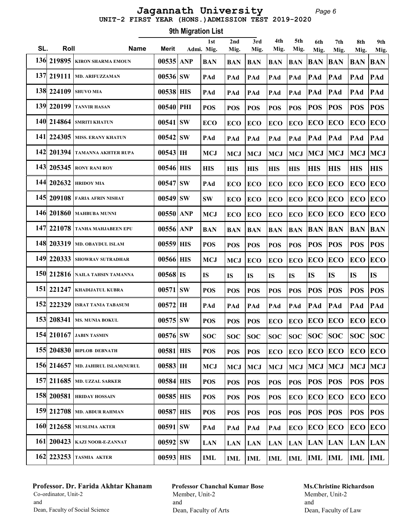#### Page 6 UNIT-2 FIRST YEAR (HONS.)ADMISSION TEST 2019-2020 Jagannath University

Roll Name Merit 1st SL. Roll Mame Merit Admi. Mig. 9th Migration List 2nd Mig. 3rd Mig. 4th Mig. 5th Mig. 6th Mig. 7th Mig. 8th Mig. 9th Mig. 136 219895 KIRON SHARMA EMOUN 00535 ANP BAN BAN BAN BAN BAN BAN BAN BAN BAN 137 219111 MD. ARIFUZZAMAN 00536 SW PAd PAd PAd PAd PAd PAd PAd PAd PAd 138 224109 SHUVO MIA | 00538 HIS | PAd | PAd | PAd | PAd | PAd | PAd | PAd | PAd | PAd 139 220199 TANVIR HASAN | 00540 PHI | POS | POS | POS | POS | POS | POS | POS | POS | POS 140 214864 SMRITI KHATUN  $|00541|SW$  ECO ECO ECO ECO ECO ECO ECO ECO ECO 141 224305 MISS. ERANY KHATUN 00542 SW PAd PAd PAd PAd PAd PAd PAd PAd PAd 142 201394 TAMANNA AKHTER RUPA 00543 IH MCJ MCJ MCJ MCJ MCJ MCJ MCJ MCJ MCJ 143 205345 RONY RANI ROY 00546 HIS HIS HIS HIS HIS HIS HIS HIS HIS HIS 144 202632 HRIDOY MIA 00547 SW PAd ECO ECO ECO ECO ECO ECO ECO ECO 145 209108 FARIA AFRIN NISHAT  $|00549|sw$  SW ECO ECO ECO ECO ECO ECO ECO ECO ECO 146 201860 MAHBUBA MUNNI | 00550 ANP MCJ ECO ECO ECO ECO ECO ECO ECO ECO ECO 147 221078 TANHA MAHJABEEN EPU | 00556 ANP | BAN | BAN | BAN | BAN | BAN | BAN | BAN | BAN | BAN | BAN 148 203319 MD. OBAYDUL ISLAM  $|00559|$  HIS  $|pos|$  POS  $|pos|$  POS  $|pos|$  POS  $|pos|$  POS  $|pos|$  POS  $|pos|$ 149| 220333 |showrav sutradhar | 00566 | HIS | MCJ | MCJ |ECO |ECO |ECO |ECO |ECO |ECO |ECO 150 212816 NAILA TAHSIN TAMANNA 00568 IS IS IS IS IS IS IS IS IS IS 151 221247 KHADIJATUL KUBRA 00571 SW POS POS POS POS POS POS POS POS POS 152 222329 ISRAT TANIA TABASUM 00572 IH PAd PAd PAd PAd PAd PAd PAd PAd PAd 153 208341 MS. MUNIA BOKUL  $|00575|SW$   $|\text{pos}|$   $|\text{pos}|$   $|\text{pos}|$   $|\text{eco}|$   $|\text{ECO}|$   $|\text{ECO}|$   $|\text{ECO}|$   $|\text{ECO}|$   $|\text{ECO}|$  154 210167 JABIN TASMIN 00576 SW SOC SOC SOC SOC SOC SOC SOC SOC SOC 155 204830 BIPLOB DEBNATH 100581 HIS POS POS DOS ECO ECO ECO ECO ECO ECO ECO 156 214657 MD. JAHIRUL ISLAM(NURUL | 00583 HH | MCJ | MCJ | MCJ | MCJ | MCJ | MCJ | MCJ | MCJ | MCJ | MCJ 157 211685 MD. UZZAL SARKER 00584 HIS POS POS POS POS POS POS POS POS POS 158 200581 HRIDAY HOSSAIN  $|00585|$  HIS  $|pos|$  POS  $|pos|$  POS  $|ECO|$  ECO  $|ECO|$  ECO  $|ECO|$  159 212708 MD. ABDUR RAHMAN 00587 HIS POS POS POS POS POS POS POS POS POS 160 212658 MUSLIMA AKTER  $|00591|SW$  PAd PAd PAd PAd ECO ECO ECO ECO ECO 161| 200423 | kazi noor-e-zannat | 00592 | SW | LAN | LAN | LAN |LAN |LAN |LAN |LAN |LAN |LAN |LAN 162 223253 TASMIA AKTER 00593 HIS IML IML IML IML IML IML IML IML IML

### Professor. Dr. Farida Akhtar Khanam Co-ordinator, Unit-2 and Dean, Faculty of Social Science

# Professor Chanchal Kumar Bose Member, Unit-2 and Dean, Faculty of Arts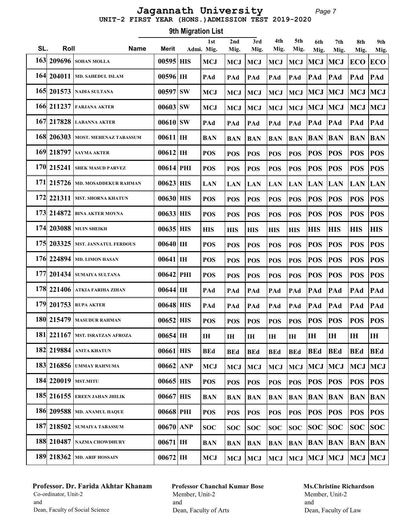#### Page 7 UNIT-2 FIRST YEAR (HONS.)ADMISSION TEST 2019-2020 Jagannath University

Roll Name Merit 1st SL. Roll Mame Merit Admi. Mig. 9th Migration List 2nd Mig. 3rd Mig. 4th Mig. 5th Mig. 6th Mig. 7th Mig. 8th Mig. 9th Mig. 163 209696 SOHAN MOLLA 100595 HIS MCJ MCJ MCJ MCJ MCJ MCJ MCJ ECO ECO 164 204011 | MD. SAHEDUL ISLAM | 00596 | IH | PAd | PAd | PAd | PAd | PAd | PAd | PAd | PAd | PAd 165| 201573 | nadia sultana | 00597 | SW | MCJ | MCJ | MCJ | MCJ | MCJ | MCJ | MCJ | MCJ | MCJ 166 211237 FARJANA AKTER 00603 SW MCJ MCJ MCJ MCJ MCJ MCJ MCJ MCJ MCJ 167 217828 LABANNA AKTER 00610 SW PAd PAd PAd PAd PAd PAd PAd PAd PAd 168 206303 MOST. MEHENAZ TABASSUM | 00611 | IH | BAN | BAN | BAN | BAN | BAN | BAN | BAN | BAN | BAN | BAN 169 218797 SAYMA AKTER 00612 IH POS POS POS POS POS POS POS POS POS 170 215241 SHEK MASUD PARVEZ 00614 PHI POS POS POS POS POS POS POS POS POS 171 215726 MD. MOSADDEKUR RAHMAN 00623 HIS LAN LAN LAN LAN LAN LAN LAN LAN LAN 172 221311 MST. SHORNA KHATUN  $|00630|$  HIS  $|pos|$  POS  $|pos|$  POS  $|pos|$  POS  $|pos|$  POS  $|pos|$  173 214872 BINA AKTER MOYNA 00633 HIS POS POS POS POS POS POS POS POS POS 174 203088 MUIN SHEIKH | 00635 HIS | HIS | HIS | HIS | HIS | HIS | HIS | HIS | HIS | HIS 175 203325 MST. JANNATUL FERDOUS 00640 IH POS POS POS POS POS POS POS POS POS 176 224894 MD. LIMON HASAN 00641 IH POS POS POS POS POS POS POS POS POS 177 201434 SUMAIYA SULTANA  $|00642|$  PHI  $|pos|$  POS  $|pos|$  POS  $|pos|$  POS  $|pos|$  POS  $|pos|$ 178 221406 ATKIA FARIHA ZIHAN | 00644 IH | PAd | PAd | PAd | PAd | PAd | PAd | PAd | PAd | PAd 179 201753 RUPA AKTER 00648 HIS PAd PAd PAd PAd PAd PAd PAd PAd PAd 180 215479 MASUDUR RAHMAN  $|00652|$  HIS  $|pos|$  POS  $|pos|$  POS  $|pos|$  POS  $|pos|$  POS  $|pos|$ 181 221167 MST. ISRATZAN AFROZA  $\parallel$  00654 IH  $\parallel$  ih  $\parallel$  ih  $\parallel$  ih  $\parallel$  ih  $\parallel$  ih  $\parallel$  ih  $\parallel$  ih  $\parallel$  ih 182 219884 ANITA KHATUN 00661 HIS BEd BEd BEd BEd BEd BEd BEd BEd BEd 183 216856 UMMAY RAHNUMA  $|00662|$  ANP  $|MCJ|$   $MCJ|MCJ|MCJ|MCJ|MCJ|MCJ$ 184| 220019 | MST.MITU | 00665 | HIS | POS | POS | POS | POS | POS | POS | POS | POS | POS | POS 185 216155 EREEN JAHAN JHILIK 00667 HIS BAN BAN BAN BAN BAN BAN BAN BAN BAN 186 209588 MD. ANAMUL HAQUE | 00668 PHI | POS | POS | POS | POS | POS | POS | POS | POS | POS 187 218502 SUMAIYA TABASSUM  $|00670|$  ANP  $|soc|soc|soc|soc|soc|soc|soc|soc|soc|soc$  188 210487 NAZMA CHOWDHURY 00671 IH BAN BAN BAN BAN BAN BAN BAN BAN BAN 189 218362 MD. ARIF HOSSAIN  $|00672|$  IH  $|MCJ|$   $MCJ$   $MCJ$   $MCJ$   $MCJ$   $MCJ$   $MCJ$   $MCJ$ 

### Professor. Dr. Farida Akhtar Khanam Co-ordinator, Unit-2 and Dean, Faculty of Social Science

# Professor Chanchal Kumar Bose Member, Unit-2 and Dean, Faculty of Arts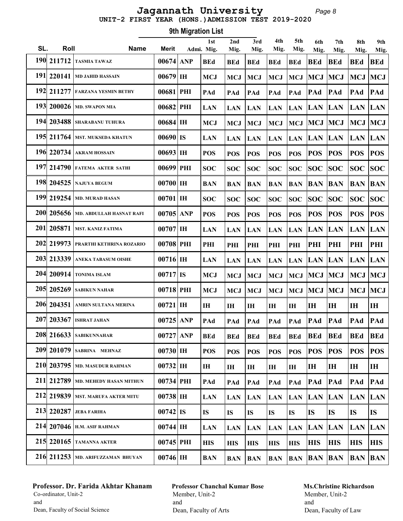#### Page 8 UNIT-2 FIRST YEAR (HONS.)ADMISSION TEST 2019-2020 Jagannath University

Roll Name Merit 1st SL. Roll Mame Merit Admi. Mig. 9th Migration List 2nd Mig. 3rd Mig. 4th Mig. 5th Mig. 6th Mig. 7th Mig. 8th Mig. 9th Mig. 190 211712 TASMIA TAWAZ | 00674 ANP | BEd | BEd | BEd | BEd | BEd | BEd | BEd | BEd | BEd | BEd 191 220141 | MD JAHID HASSAIN  $|00679|$  IH  $|$  McJ  $|$  McJ  $|$  McJ  $|$  McJ  $|$  McJ  $|$  McJ  $|$  McJ  $|$  McJ  $|$  McJ 192 211277 FARZANA YESMIN BETHY | 00681 PHI | PAd | PAd | PAd | PAd | PAd | PAd | PAd | PAd | PAd 193 200026 MD. SWAPON MIA | 00682 PHI |LAN |LAN |LAN |LAN |LAN |LAN |LAN |LAN 194 203488 SHARABANU TUHURA  $|00684|$  IH  $|MCJ|$  MCJ  $|MCJ|$  MCJ  $|MCJ|$  MCJ  $|MCJ|$  MCJ  $|MCJ|$  195 211764 MST. MUKSEDA KHATUN 00690 IS LAN LAN LAN LAN LAN LAN LAN LAN LAN 196 220734 AKRAM HOSSAIN 00693 IH POS POS POS POS POS POS POS POS POS 197 214790 FATEMA AKTER SATHI 00699 PHI SOC SOC SOC SOC SOC SOC SOC SOC SOC 198 204525 NAJUYA BEGUM 00700 IH BAN BAN BAN BAN BAN BAN BAN BAN BAN 199 219254 MD. MURAD HASAN  $|00701|\text{H}|\text{SOC}}$  soc  $|\text{soc}|$  soc  $|\text{soc}|$  soc  $|\text{soc}|$  soc  $|\text{soc}|$  soc  $|\text{soc}|$  soc  $|\text{soc}|$ 200 205656 MD. ABDULLAH HASNAT RAFI | 00705 ANP | POS | POS | POS | POS | POS | POS | POS | POS | POS | POS 201 205871 MST. KANIZ FATIMA  $|00707|$  IH  $|$  LAN  $|$  LAN  $|$  LAN  $|$  LAN  $|$  LAN  $|$  LAN  $|$  LAN  $|$  LAN  $|$  LAN  $|$  LAN  $|$  LAN  $|$  LAN  $|$  LAN  $|$  LAN  $|$  LAN  $|$  LAN  $|$  LAN  $|$  LAN  $|$  LAN  $|$  LAN  $|$  LAN  $|$  LAN  $|$  202 219973 PRARTHI KETHRINA ROZARIO 00708 PHI PHI PHI PHI PHI PHI PHI PHI PHI PHI 203 213339 ANEKA TABASUM OISHE 00716 IH LAN LAN LAN LAN LAN LAN LAN LAN LAN 204 200914 TONIMA ISLAM  $|00717|$  IS  $|MCJ|$  MCJ  $|MCJ|$  MCJ  $|MCJ|$  MCJ  $|MCJ|$  MCJ  $|MCJ|$ 205 205269 SABIKUN NAHAR  $|00718|$  PHI  $|MCJ|$   $MCJ|MCJ|$   $MCJ|MCJ|MCJ|MCJ|$  206 204351 AMRIN SULTANA MERINA 00721 IH IH IH IH IH IH IH IH IH IH  $207$  203367 ISHRAT JAHAN  $|00725|$  ANP  $|$  PAd  $|$  PAd  $|$  PAd  $|$  PAd  $|$  PAd  $|$  PAd  $|$  PAd  $|$  PAd  $|$  208 216633 SABIKUNNAHAR 00727 ANP BEd BEd BEd BEd BEd BEd BEd BEd BEd 209 201079 SABRINA MEHNAZ | 00730 IH | POS | POS | POS | POS | POS | POS | POS | POS | POS | POS 210 203795 MD. MASUDUR RAHMAN 00732 IH IH IH IH IH IH IH IH IH IH 211 212789 MD. MEHEDY HASAN MITHUN | 00734 PHI | PAd | PAd | PAd | PAd | PAd | PAd | PAd | PAd | PAd 212 219839 MST. MARUFA AKTER MITU | 00738 IH | LAN | LAN | LAN | LAN | LAN | LAN | LAN | LAN | LAN | LAN 213 220287 JEBA FARIHA 00742 IS IS IS IS IS IS IS IS IS IS 214 207046 H.M. ASIF RAHMAN  $|00744|$  IH  $|$  LAN  $|$  LAN  $|$  LAN  $|$  LAN  $|$  LAN  $|$  LAN  $|$  LAN  $|$  LAN  $|$  LAN  $|$  LAN  $|$  LAN  $|$  215 220165 TAMANNA AKTER 00745 PHI HIS HIS HIS HIS HIS HIS HIS HIS HIS 216 211253 MD. ARIFUZZAMAN BHUYAN 00746 IH BAN BAN BAN BAN BAN BAN BAN BAN BAN

# Professor. Dr. Farida Akhtar Khanam Co-ordinator, Unit-2 and

Dean, Faculty of Social Science

Professor Chanchal Kumar Bose Member, Unit-2 and Dean, Faculty of Arts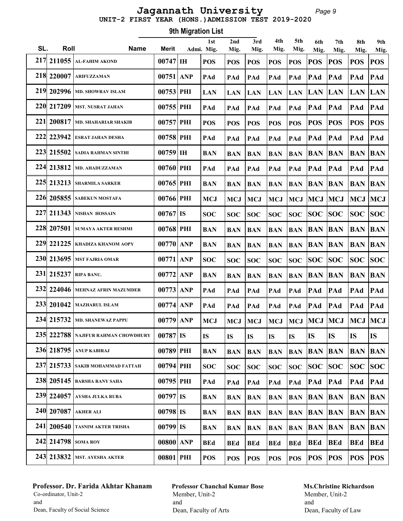#### Page 9 UNIT-2 FIRST YEAR (HONS.)ADMISSION TEST 2019-2020 Jagannath University

Roll Name Merit 1st SL. Roll Mame Merit Admi. Mig. 9th Migration List 2nd Mig. 3rd Mig. 4th Mig. 5th Mig. 6th Mig. 7th Mig. 8th Mig. 9th Mig. 217 211055 AL-FAHIM AKOND | 00747 IH | POS | POS | POS | POS | POS | POS | POS | POS | POS 218 220007 ARIFUZZAMAN | 00751 ANP PAd PAd PAd PAd PAd PAd PAd PAd PAd 219 202996 MD. SHOWRAV ISLAM | 00753 PHI | LAN | LAN | LAN | LAN | LAN | LAN | LAN | LAN | LAN | LAN 220 217209 MST. NUSRAT JAHAN | 00755 PHI | PAd | PAd | PAd | PAd | PAd | PAd | PAd | PAd | PAd 221 200817 MD. SHAHARIAR SHAKIB 00757 PHI POS POS POS POS POS POS POS POS POS 222 223942 ESRAT JAHAN DESHA | 00758 PHI | PAd | PAd | PAd | PAd | PAd | PAd | PAd | PAd | PAd 223 215502 SADIA RAHMAN SINTHI 00759 IH BAN BAN BAN BAN BAN BAN BAN BAN BAN 224 213812 MD. AHADUZZAMAN | 00760 PHI | PAd | PAd | PAd | PAd | PAd | PAd | PAd | PAd | PAd 225 213213 SHARMILA SARKER 00765 PHI BAN BAN BAN BAN BAN BAN BAN BAN BAN 226 205855 SABEKUN MOSTAFA  $|00766|$  PHI  $|MCJ|$  MCJ  $|MCJ|$  MCJ  $|MCJ|$  MCJ  $|MCJ|$  MCJ  $|MCJ|$ 227 211343 NISHAN HOSSAIN  $|00767|$  IS  $|$  SOC  $|$  SOC  $|$  SOC  $|$  SOC  $|$  SOC  $|$  SOC  $|$  SOC  $|$  SOC  $|$  SOC 228 207501 SUMAYA AKTER RESHMI | 00768 PHI | BAN | BAN | BAN | BAN | BAN | BAN | BAN | BAN | BAN | BAN 229 221225 KHADIZA KHANOM AOPY 00770 ANP BAN BAN BAN BAN BAN BAN BAN BAN BAN 230 213695 MST FAJRIA OMAR 00771 ANP SOC SOC SOC SOC SOC SOC SOC SOC SOC 231 215237 RIPA BANU.  $|00772|$  ANP  $|$  BAN  $|$  BAN  $|$  BAN  $|$  BAN  $|$  BAN  $|$  BAN  $|$  BAN  $|$  BAN  $|$  BAN  $|$  BAN  $|$  BAN  $|$  BAN  $|$  BAN  $|$  BAN  $|$  BAN  $|$  BAN  $|$  BAN  $|$  BAN  $|$  BAN  $|$  BAN  $|$  BAN  $|$  BAN  $|$  BAN 232 224046 MEHNAZ AFRIN MAZUMDER 00773 ANP PAd PAd PAd PAd PAd PAd PAd PAd PAd 233 201042 MAZHARUL ISLAM 00774 ANP PAd PAd PAd PAd PAd PAd PAd PAd PAd 234 215732 MD. SHANEWAZ PAPPU  $|00779|$  ANP  $|MCJ|$   $MCJ|MCJ|$   $MCJ|MCJ|MCJ|MCJ|MCJ$  235 222788 NAJIFUR RAHMAN CHOWDHURY 00787 IS IS IS IS IS IS IS IS IS IS 236 218795 ANUP KABIRAJ 00789 PHI BAN BAN BAN BAN BAN BAN BAN BAN BAN 237 215733 SAKIB MOHAMMAD FATTAH 00794 PHI SOC SOC SOC SOC SOC SOC SOC SOC SOC 238 205145 BARSHA RANY SAHA 00795 PHI PAd PAd PAd PAd PAd PAd PAd PAd PAd 239 224057 AYSHA JULKA RUBA 00797 IS BAN BAN BAN BAN BAN BAN BAN BAN BAN 240 207087 AKHER ALI  $|00798|$  IS  $|BAN|BAN|BAN|BAN|BAN|BAN|BAN|BAN$  241 200540 TASNIM AKTER TRISHA 00799 IS BAN BAN BAN BAN BAN BAN BAN BAN BAN 242 214798 SOMAROY | 00800 ANP | BEd | BEd | BEd | BEd | BEd | BEd | BEd | BEd | BEd | BEd 243 213832 MST. AYESHA AKTER 00801 PHI POS POS POS POS POS POS POS POS POS

### Professor. Dr. Farida Akhtar Khanam Co-ordinator, Unit-2 and Dean, Faculty of Social Science

Professor Chanchal Kumar Bose Member, Unit-2 and Dean, Faculty of Arts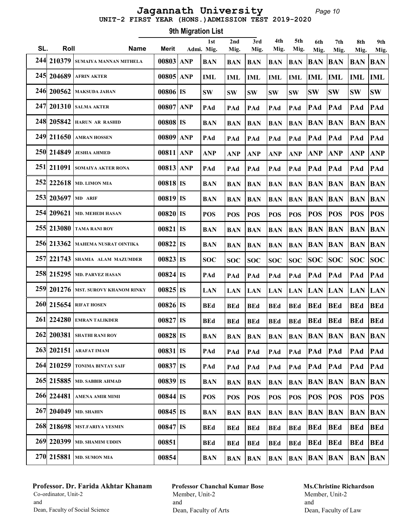# UNIT-2 FIRST YEAR (HONS.)ADMISSION TEST 2019-2020 Jagannath University

Page 10

|     | 9th Migration List |                                       |              |  |                   |             |             |             |             |                    |             |                |                |
|-----|--------------------|---------------------------------------|--------------|--|-------------------|-------------|-------------|-------------|-------------|--------------------|-------------|----------------|----------------|
| SL. | Roll               | <b>Name</b>                           | <b>Merit</b> |  | 1st<br>Admi. Mig. | 2nd<br>Mig. | 3rd<br>Mig. | 4th<br>Mig. | 5th<br>Mig. | 6th<br>Mig.        | 7th<br>Mig. | 8th<br>Mig.    | 9th<br>Mig.    |
| 244 |                    | 210379 SUMAIYA MANNAN MITHELA         | 00803 ANP    |  | <b>BAN</b>        | <b>BAN</b>  | <b>BAN</b>  | <b>BAN</b>  | <b>BAN</b>  | <b>BAN</b>         | <b>BAN</b>  | <b>BAN</b>     | <b>BAN</b>     |
|     |                    | 245 204689 AFRIN AKTER                | $00805$ ANP  |  | <b>IML</b>        | IML         | <b>IML</b>  | <b>IML</b>  | <b>IML</b>  | <b>IML</b>         | <b>IML</b>  | <b>IML</b>     | <b>IML</b>     |
|     |                    | 246 200562 MAKSUDA JAHAN              | $00806$ IS   |  | <b>SW</b>         | <b>SW</b>   | <b>SW</b>   | <b>SW</b>   | <b>SW</b>   | <b>SW</b>          | <b>SW</b>   | <b>SW</b>      | <b>SW</b>      |
| 247 |                    | 201310 SALMA AKTER                    | 00807 ANP    |  | PAd               | PAd         | PAd         | PAd         | PAd         | PAd                | PAd         | PAd            | PAd            |
|     | 248 205842         | <b>HARUN AR RASHID</b>                | $00808$ IS   |  | <b>BAN</b>        | <b>BAN</b>  | <b>BAN</b>  | <b>BAN</b>  | <b>BAN</b>  | <b>BAN</b>         | <b>BAN</b>  | <b>BAN</b>     | <b>BAN</b>     |
|     |                    | 249 211650 AMRAN HOSSEN               | 00809 ANP    |  | PAd               | PAd         | PAd         | PAd         | PAd         | PAd                | PAd         | PAd            | PAd            |
|     |                    | 250 214849 JESHIA AHMED               | 00811 ANP    |  | <b>ANP</b>        | <b>ANP</b>  | <b>ANP</b>  | <b>ANP</b>  | <b>ANP</b>  | <b>ANP</b>         | <b>ANP</b>  | <b>ANP</b>     | <b>ANP</b>     |
|     |                    | 251 211091 SOMAIYA AKTER RONA         | 00813 ANP    |  | PAd               | PAd         | PAd         | PAd         | PAd         | PAd                | PAd         | PAd            | PAd            |
|     |                    | 252 222618 MD. LIMON MIA              | $00818$ IS   |  | <b>BAN</b>        | <b>BAN</b>  | <b>BAN</b>  | <b>BAN</b>  | <b>BAN</b>  | <b>BAN</b>         | <b>BAN</b>  | <b>BAN</b>     | <b>BAN</b>     |
|     | 253 203697 MD ARIF |                                       | $00819$ IS   |  | <b>BAN</b>        | <b>BAN</b>  | <b>BAN</b>  | <b>BAN</b>  | <b>BAN</b>  | <b>BAN</b>         | <b>BAN</b>  | <b>BAN</b>     | <b>BAN</b>     |
|     |                    | 254 209621   MD. MEHEDI HASAN         | $00820$ IS   |  | <b>POS</b>        | <b>POS</b>  | <b>POS</b>  | <b>POS</b>  | <b>POS</b>  | <b>POS</b>         | <b>POS</b>  | <b>POS</b>     | <b>POS</b>     |
|     |                    | 255 213080 TAMA RANI ROY              | $00821$ IS   |  | <b>BAN</b>        | <b>BAN</b>  | <b>BAN</b>  | <b>BAN</b>  | <b>BAN</b>  | <b>BAN</b>         | <b>BAN</b>  | <b>BAN</b>     | <b>BAN</b>     |
|     | 256 213362         | <b>MAHEMA NUSRAT OINTIKA</b>          | $00822$ IS   |  | BAN               | <b>BAN</b>  | <b>BAN</b>  | <b>BAN</b>  | <b>BAN</b>  | <b>BAN</b>         | <b>BAN</b>  | <b>BAN</b>     | <b>BAN</b>     |
|     |                    | 257 221743 SHAMIA ALAM MAZUMDER       | $00823$ IS   |  | <b>SOC</b>        | <b>SOC</b>  | <b>SOC</b>  | <b>SOC</b>  | <b>SOC</b>  | <b>SOC</b>         | SOC         | <b>SOC</b>     | <b>SOC</b>     |
|     |                    | 258 215295   MD. PARVEZ HASAN         | 00824 IS     |  | PAd               | PAd         | PAd         | PAd         | PAd         | PAd                | PAd         | PAd            | PAd            |
|     |                    | 259 201276   MST. SUROVY KHANOM RINKY | $00825$ IS   |  | <b>LAN</b>        | <b>LAN</b>  | <b>LAN</b>  | <b>LAN</b>  | <b>LAN</b>  | <b>LAN</b>         | <b>LAN</b>  | <b>LAN</b>     | <b>LAN</b>     |
|     |                    | 260 215654 RIFAT HOSEN                | $00826$ IS   |  | <b>BEd</b>        | <b>BEd</b>  | <b>BEd</b>  | <b>BEd</b>  | <b>BEd</b>  | <b>BEd</b>         | <b>BEd</b>  | <b>BEd</b>     | <b>BEd</b>     |
|     |                    | 261 224280 EMRAN TALIKDER             | $00827$ IS   |  | <b>BEd</b>        | <b>BEd</b>  | <b>BEd</b>  | <b>BEd</b>  | <b>BEd</b>  | <b>BEd</b>         | <b>BEd</b>  | <b>BEd</b>     | <b>BEd</b>     |
|     |                    | 262 200381 SHATHI RANI ROY            | $00828$ IS   |  | <b>BAN</b>        | <b>BAN</b>  | <b>BAN</b>  | <b>BAN</b>  | <b>BAN</b>  | <b>BAN BAN</b>     |             | <b>BAN BAN</b> |                |
|     |                    | 263 202151 ARAFAT IMAM                | $00831$ IS   |  | PAd               | PAd         | PAd         | PAd         | PAd         | PAd                | PAd         | PAd            | PAd            |
|     |                    | 264 210259 TONIMA BINTAY SAIF         | $00837$ IS   |  | PAd               | PAd         | PAd         | PAd         | PAd         | PAd                | PAd         | PAd            | PAd            |
|     |                    | 265 215885   MD. SABBIR AHMAD         | $00839$ IS   |  | BAN               | <b>BAN</b>  | <b>BAN</b>  | <b>BAN</b>  | <b>BAN</b>  | <b>BAN BAN</b>     |             | BAN            | <b>BAN</b>     |
|     |                    | 266 224481 AMENA AMIR MIMI            | $00844$ IS   |  | <b>POS</b>        | <b>POS</b>  | <b>POS</b>  | <b>POS</b>  | <b>POS</b>  | POS                | POS         | <b>POS</b>     | <b>POS</b>     |
|     |                    | 267 204049   MD. SHAHIN               | $00845$ IS   |  | <b>BAN</b>        | <b>BAN</b>  | <b>BAN</b>  | <b>BAN</b>  | <b>BAN</b>  | <b>BAN BAN</b>     |             | <b>BAN</b>     | <b>BAN</b>     |
|     |                    | 268 218698 MST.FARIYA YESMIN          | 00847 IS     |  | BEd               | BEd         | <b>BEd</b>  | <b>BEd</b>  | <b>BEd</b>  | <b>BEd</b>         | <b>BEd</b>  | <b>BEd</b>     | <b>BEd</b>     |
|     |                    | 269 220399   MD. SHAMIM UDDIN         | 00851        |  | <b>BEd</b>        | <b>BEd</b>  | <b>BEd</b>  | <b>BEd</b>  | <b>BEd</b>  | <b>BEd</b>         | <b>BEd</b>  | <b>BEd</b>     | <b>BEd</b>     |
|     |                    | 270 215881 MD. SUMON MIA              | 00854        |  | <b>BAN</b>        | <b>BAN</b>  | <b>BAN</b>  | <b>BAN</b>  |             | <b>BAN BAN BAN</b> |             |                | <b>BAN BAN</b> |

# Professor. Dr. Farida Akhtar Khanam Co-ordinator, Unit-2 and Dean, Faculty of Social Science

# Professor Chanchal Kumar Bose Member, Unit-2 and Dean, Faculty of Arts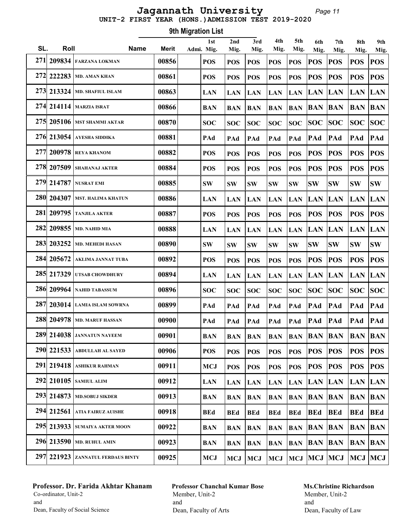#### Page 11 UNIT-2 FIRST YEAR (HONS.)ADMISSION TEST 2019-2020 Jagannath University

Roll Name Merit 1st SL. Roll Mame Merit Admi. Mig. 9th Migration List 2nd Mig. 3rd Mig. 4th Mig. 5th Mig. 6th Mig. 7th Mig. 8th Mig. 9th Mig. 271 209834 FARZANA LOKMAN 00856 POS POS POS POS POS POS POS POS POS 272 222283 MD. AMAN KHAN  $|00861|$   $|pos|$   $|pos|$   $|pos|$   $|pos|$   $|pos|$   $|pos|$   $|pos|$   $|pos|$   $|pos|$   $|pos|$   $|pos|$  273 213324 MD. SHAFIUL ISLAM 00863 LAN LAN LAN LAN LAN LAN LAN LAN LAN 274 214114 MARZIA ISRAT 00866 BAN BAN BAN BAN BAN BAN BAN BAN BAN 275 205106 MST SHAMMI AKTAR 00870 SOC SOC SOC SOC SOC SOC SOC SOC SOC 276 213054 AYESHA SIDDIKA 00881 PAd PAd PAd PAd PAd PAd PAd PAd PAd 277 200978 REYA KHANOM 00882 POS POS POS POS POS POS POS POS POS 278 207509 SHAHANAJ AKTER 00884 POS POS POS POS POS POS POS POS POS 279 214787 NUSRAT EMI 00885 SW SW SW SW SW SW SW SW SW 280 204307 MST. HALIMA KHATUN 00886 LAN LAN LAN LAN LAN LAN LAN LAN LAN 281 209795 TANJILA AKTER 00887 POS POS POS POS POS POS POS POS POS 282 209855 MD. NAHID MIA 00888 LAN LAN LAN LAN LAN LAN LAN LAN LAN 283 203252 MD. MEHEDI HASAN  $|00890|$  SW  $|8W$   $|8W$   $|8W$   $|8W$   $|8W$   $|8W$   $|8W$   $|8W$  284 205672 AKLIMA JANNAT TUBA 00892 POS POS POS POS POS POS POS POS POS 285 217329 UTSAB CHOWDHURY 00894 LAN LAN LAN LAN LAN LAN LAN LAN LAN 286 209964 NAHID TABASSUM 00896 SOC SOC SOC SOC SOC SOC SOC SOC SOC 287 203014 LAMIA ISLAM SOWRNA 00899 PAd PAd PAd PAd PAd PAd PAd PAd PAd 288 204978 MD. MARUF HASSAN 00900 PAd PAd PAd PAd PAd PAd PAd PAd PAd 289 214038 JANNATUN NAYEEM 00901 BAN BAN BAN BAN BAN BAN BAN BAN BAN 290 221533 ABDULLAH AL SAYED | 00906 | POS | POS | POS | POS | POS | POS | POS | POS | POS | POS 291 219418 ASHIKUR RAHMAN 00911 MCJ POS POS POS POS POS POS POS POS 292 210105 SAMIUL ALIM 00912 LAN LAN LAN LAN LAN LAN LAN LAN LAN 293 214873 MD.SOBUJ SIKDER 00913 BAN BAN BAN BAN BAN BAN BAN BAN BAN 294 212561 ATIA FAIRUZ AUISHE | 00918 | BEd | BEd | BEd | BEd | BEd | BEd | BEd | BEd | BEd | BEd 295 213933 SUMAIYA AKTER MOON 00922 BAN BAN BAN BAN BAN BAN BAN BAN BAN 296 213590 MD. RUHUL AMIN 00923 BAN BAN BAN BAN BAN BAN BAN BAN BAN 297 221923 ZANNATUL FERDAUS BINTY  $\parallel$  00925 MCJ  $\parallel$  MCJ  $\parallel$  MCJ  $\parallel$  MCJ  $\parallel$  MCJ  $\parallel$  MCJ  $\parallel$  MCJ  $\parallel$  MCJ  $\parallel$  MCJ

### Professor. Dr. Farida Akhtar Khanam Co-ordinator, Unit-2 and Dean, Faculty of Social Science

Professor Chanchal Kumar Bose Member, Unit-2 and Dean, Faculty of Arts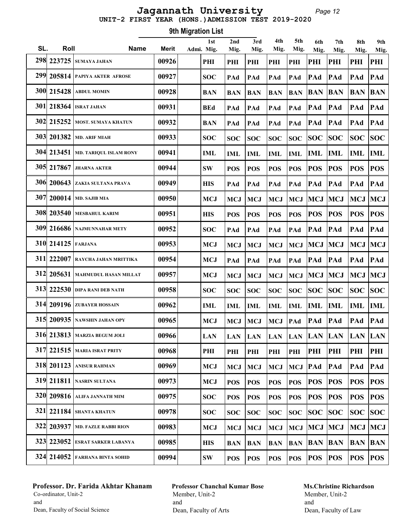#### Page 12 UNIT-2 FIRST YEAR (HONS.)ADMISSION TEST 2019-2020 Jagannath University

Roll Name Merit 1st SL. Roll Mame Merit Admi. Mig. 9th Migration List 2nd Mig. 3rd Mig. 4th Mig. 5th Mig. 6th Mig. 7th Mig. 8th Mig. 9th Mig. 298 223725 SUMAYA JAHAN 00926 PHI PHI PHI PHI PHI PHI PHI PHI PHI 299 205814 PAPIYA AKTER AFROSE 00927 SOC PAd PAd PAd PAd PAd PAd PAd PAd 300 215428 ABDUL MOMIN 00928 BAN BAN BAN BAN BAN BAN BAN BAN BAN 301 218364 ISRAT JAHAN 00931 BEd PAd PAd PAd PAd PAd PAd PAd PAd 302 215252 MOST. SUMAYA KHATUN 00932 BAN PAd PAd PAd PAd PAd PAd PAd PAd 303 201382 MD. ARIF MIAH 00933 SOC SOC SOC SOC SOC SOC SOC SOC SOC 304 213451 MD. TARIQUL ISLAM RONY 00941 IML IML IML IML IML IML IML IML IML 305 217867 JHARNA AKTER 00944 SW POS POS POS POS POS POS POS POS 306 200643 ZAKIA SULTANA PRAVA | 00949 | HIS | PAd PAd PAd PAd PAd PAd PAd PAd PAd  $\frac{307}{200014}$  MD. SAJIB MIA  $\left| \begin{array}{c} 00950 \end{array} \right|$   $\left| \begin{array}{c} \text{MCJ} \\ \text{MCJ} \end{array} \right|$  MCJ  $\left| \begin{array}{c} \text{MCJ} \\ \text{MCJ} \end{array} \right|$  MCJ  $\left| \begin{array}{c} \text{MCJ} \\ \text{MCJ} \end{array} \right|$  MCJ 308 203540 MESBAHUL KARIM  $|00951|$  HIS  $|pos|pos|pos|pos$  POS POS POS POS POS POS 309 216686 NAJMUNNAHAR METY 00952 SOC PAd PAd PAd PAd PAd PAd PAd PAd 310 214125 FARJANA 00953 MCJ MCJ MCJ MCJ MCJ MCJ MCJ MCJ MCJ 311| 222007 RAYCHA JAHAN MRITTIKA | 00954 | MCJ | PAd | PAd | PAd | PAd | PAd | PAd | PAd | PAd 312 205631 MAHMUDUL HASAN MILLAT 00957 MCJ MCJ MCJ MCJ MCJ MCJ MCJ MCJ MCJ 313 222530 DIPA RANI DEB NATH 00958 SOC SOC SOC SOC SOC SOC SOC SOC SOC 314 209196 ZUBAYER HOSSAIN 00962 IML IML IML IML IML IML IML IML IML 315 200935 NAWSHIN JAHAN OPY  $|00965|$  MCJ MCJ MCJ MCJ PAd PAd PAd PAd PAd PAd 316 213813 MARZIA BEGUM JOLI 00966 LAN LAN LAN LAN LAN LAN LAN LAN LAN 317 221515 MARIA ISRAT PRITY 00968 PHI PHI PHI PHI PHI PHI PHI PHI PHI 318 201123 ANISUR RAHMAN 00969 MCJ MCJ MCJ MCJ MCJ PAd PAd PAd PAd 319 211811 NASRIN SULTANA 00973 MCJ POS POS POS POS POS POS POS POS 320 209816 ALIFA JANNATH MIM 00975 SOC POS POS POS POS POS POS POS POS 321 221184 SHANTA KHATUN 00978 SOC SOC SOC SOC SOC SOC SOC SOC SOC 322 203937 MD. FAZLE RABBI RION  $|00983|$  MCJ  $|MCJ|$  MCJ  $|MCJ|$  MCJ  $|MCJ|$  MCJ  $|MCJ|$  MCJ 323 223052 ESRAT SARKER LABANYA 00985 HIS BAN BAN BAN BAN BAN BAN BAN BAN 324 214052 FARHANA BINTA SOHID 00994 SW POS POS POS POS POS POS POS POS

# Professor. Dr. Farida Akhtar Khanam Co-ordinator, Unit-2 and Dean, Faculty of Social Science

Professor Chanchal Kumar Bose Member, Unit-2 and Dean, Faculty of Arts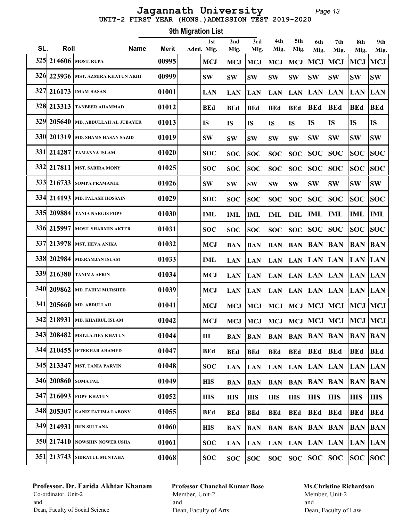Page 13 UNIT-2 FIRST YEAR (HONS.)ADMISSION TEST 2019-2020 Jagannath University

| 9th Migration List |            |                                      |       |  |                   |             |             |             |             |                    |             |                              |                |
|--------------------|------------|--------------------------------------|-------|--|-------------------|-------------|-------------|-------------|-------------|--------------------|-------------|------------------------------|----------------|
| SL.                | Roll       | <b>Name</b>                          | Merit |  | 1st<br>Admi. Mig. | 2nd<br>Mig. | 3rd<br>Mig. | 4th<br>Mig. | 5th<br>Mig. | 6th<br>Mig.        | 7th<br>Mig. | 8th<br>Mig.                  | 9th<br>Mig.    |
| 325                |            | 214606 MOST. RUPA                    | 00995 |  | <b>MCJ</b>        | <b>MCJ</b>  | <b>MCJ</b>  | <b>MCJ</b>  | <b>MCJ</b>  | MCJ                | <b>MCJ</b>  | <b>MCJ</b>                   | MCJ            |
|                    |            | 326 223936   MST. AZMIRA KHATUN AKHI | 00999 |  | <b>SW</b>         | <b>SW</b>   | <b>SW</b>   | <b>SW</b>   | <b>SW</b>   | <b>SW</b>          | <b>SW</b>   | <b>SW</b>                    | <b>SW</b>      |
| 327                |            | $216173$ IMAM HASAN                  | 01001 |  | <b>LAN</b>        | <b>LAN</b>  | <b>LAN</b>  | <b>LAN</b>  | <b>LAN</b>  | <b>LAN</b>         | <b>LAN</b>  | <b>LAN</b>                   | <b>LAN</b>     |
|                    | 328 213313 | <b>TANBEER AHAMMAD</b>               | 01012 |  | <b>BEd</b>        | <b>BEd</b>  | <b>BEd</b>  | <b>BEd</b>  | <b>BEd</b>  | <b>BEd</b>         | <b>BEd</b>  | <b>BEd</b>                   | <b>BEd</b>     |
|                    | 329 205640 | <b>MD. ABDULLAH AL JUBAYER</b>       | 01013 |  | <b>IS</b>         | <b>IS</b>   | IS          | <b>IS</b>   | <b>IS</b>   | <b>IS</b>          | <b>IS</b>   | <b>IS</b>                    | <b>IS</b>      |
|                    | 330 201319 | <b>MD. SHAMS HASAN SAZID</b>         | 01019 |  | <b>SW</b>         | <b>SW</b>   | <b>SW</b>   | <b>SW</b>   | <b>SW</b>   | <b>SW</b>          | <b>SW</b>   | <b>SW</b>                    | <b>SW</b>      |
| <b>331</b>         | 214287     | <b>TAMANNA ISLAM</b>                 | 01020 |  | <b>SOC</b>        | <b>SOC</b>  | <b>SOC</b>  | <b>SOC</b>  | <b>SOC</b>  | <b>SOC</b>         | <b>SOC</b>  | <b>SOC</b>                   | <b>SOC</b>     |
|                    | 332 217811 | <b>MST. SABIRA MONY</b>              | 01025 |  | <b>SOC</b>        | <b>SOC</b>  | <b>SOC</b>  | <b>SOC</b>  | <b>SOC</b>  | <b>SOC</b>         | <b>SOC</b>  | <b>SOC</b>                   | <b>SOC</b>     |
|                    | 333 216733 | <b>SOMPA PRAMANIK</b>                | 01026 |  | <b>SW</b>         | <b>SW</b>   | <b>SW</b>   | <b>SW</b>   | <b>SW</b>   | <b>SW</b>          | <b>SW</b>   | <b>SW</b>                    | <b>SW</b>      |
|                    | 334 214193 | <b>MD. PALASH HOSSAIN</b>            | 01029 |  | <b>SOC</b>        | <b>SOC</b>  | <b>SOC</b>  | <b>SOC</b>  | <b>SOC</b>  | <b>SOC</b>         | <b>SOC</b>  | <b>SOC</b>                   | <b>SOC</b>     |
|                    |            | 335 209884 TANIA NARGIS POPY         | 01030 |  | <b>IML</b>        | <b>IML</b>  | <b>IML</b>  | <b>IML</b>  | <b>IML</b>  | IML                | IML         | <b>IML</b>                   | <b>IML</b>     |
|                    |            | 336 215997   MOST. SHARMIN AKTER     | 01031 |  | <b>SOC</b>        | <b>SOC</b>  | <b>SOC</b>  | <b>SOC</b>  | <b>SOC</b>  | <b>SOC</b>         | SOC         | <b>SOC</b>                   | <b>SOC</b>     |
|                    | 337 213978 | <b>MST. HEVA ANIKA</b>               | 01032 |  | <b>MCJ</b>        | <b>BAN</b>  | <b>BAN</b>  | <b>BAN</b>  | <b>BAN</b>  | <b>BAN</b>         | <b>BAN</b>  | <b>BAN</b>                   | <b>BAN</b>     |
|                    | 338 202984 | <b>MD.RAMJAN ISLAM</b>               | 01033 |  | <b>IML</b>        | <b>LAN</b>  | <b>LAN</b>  | <b>LAN</b>  | <b>LAN</b>  | <b>LAN LAN</b>     |             | <b>LAN</b>                   | <b>LAN</b>     |
|                    | 339 216380 | <b>TANIMA AFRIN</b>                  | 01034 |  | <b>MCJ</b>        | <b>LAN</b>  | <b>LAN</b>  | <b>LAN</b>  | <b>LAN</b>  | <b>LAN LAN</b>     |             | <b>LAN</b>                   | <b>LAN</b>     |
|                    | 340 209862 | <b>MD. FAHIM MURSHED</b>             | 01039 |  | <b>MCJ</b>        | <b>LAN</b>  | <b>LAN</b>  | <b>LAN</b>  | <b>LAN</b>  | <b>LAN LAN</b>     |             | <b>LAN</b>                   | <b>LAN</b>     |
| <b>341</b>         | 205660     | <b>MD. ABDULLAH</b>                  | 01041 |  | <b>MCJ</b>        | <b>MCJ</b>  | <b>MCJ</b>  | <b>MCJ</b>  | <b>MCJ</b>  | <b>MCJ</b>         | <b>MCJ</b>  | <b>MCJ</b>                   | <b>MCJ</b>     |
|                    |            | 342 218931   MD. KHAIRUL ISLAM       | 01042 |  | <b>MCJ</b>        |             | $MCJ$ $MCJ$ |             |             |                    |             | MCJ  MCJ  MCJ  MCJ  MCJ  MCJ |                |
|                    |            | 343 208482 MST.LATIFA KHATUN         | 01044 |  | IH                | <b>BAN</b>  | <b>BAN</b>  | <b>BAN</b>  |             | <b>BAN BAN BAN</b> |             | <b>BAN BAN</b>               |                |
|                    |            | 344 210455   IFTEKHAR AHAMED         | 01047 |  | <b>BEd</b>        | <b>BEd</b>  | <b>BEd</b>  | <b>BEd</b>  | <b>BEd</b>  | <b>BEd</b>         | <b>BEd</b>  | <b>BEd</b>                   | <b>BEd</b>     |
|                    |            | 345 213347   MST. TANIA PARVIN       | 01048 |  | <b>SOC</b>        | <b>LAN</b>  | <b>LAN</b>  | <b>LAN</b>  |             | LAN LAN LAN        |             | LAN LAN                      |                |
|                    |            | 346 200860 SOMA PAL                  | 01049 |  | <b>HIS</b>        | <b>BAN</b>  | <b>BAN</b>  | <b>BAN</b>  | <b>BAN</b>  | <b>BAN BAN</b>     |             | <b>BAN</b>                   | $\mathbf{BAN}$ |
|                    |            | 347 216093 POPY KHATUN               | 01052 |  | <b>HIS</b>        | <b>HIS</b>  | <b>HIS</b>  | <b>HIS</b>  | <b>HIS</b>  | <b>HIS</b>         | HIS         | <b>HIS</b>                   | <b>HIS</b>     |
|                    |            | 348 205307 KANIZ FATIMA LABONY       | 01055 |  | <b>BEd</b>        | <b>BEd</b>  | <b>BEd</b>  | <b>BEd</b>  | <b>BEd</b>  | <b>BEd</b>         | <b>BEd</b>  | <b>BEd</b>                   | <b>BEd</b>     |
|                    |            | 349 214931   IRIN SULTANA            | 01060 |  | <b>HIS</b>        | <b>BAN</b>  | <b>BAN</b>  | <b>BAN</b>  |             | <b>BAN BAN BAN</b> |             | <b>BAN</b>                   | <b>BAN</b>     |
|                    |            | 350 217410 NOWSHIN NOWER USHA        | 01061 |  | <b>SOC</b>        | <b>LAN</b>  | <b>LAN</b>  | <b>LAN</b>  | <b>LAN</b>  | LAN LAN            |             | <b>LAN</b>                   | <b>LAN</b>     |
|                    |            | 351 213743 SIDRATUL MUNTAHA          | 01068 |  | <b>SOC</b>        | <b>SOC</b>  | <b>SOC</b>  | <b>SOC</b>  |             | soc soc soc        |             | SOC SOC                      |                |

# Professor. Dr. Farida Akhtar Khanam Co-ordinator, Unit-2 and Dean, Faculty of Social Science

Professor Chanchal Kumar Bose Member, Unit-2 and Dean, Faculty of Arts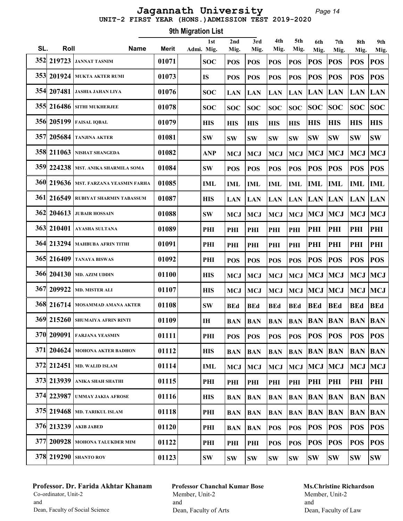# UNIT-2 FIRST YEAR (HONS.)ADMISSION TEST 2019-2020 Jagannath University

Page 14

|     | 9th Migration List |                                         |              |  |                         |             |               |               |             |                        |             |                    |                    |  |
|-----|--------------------|-----------------------------------------|--------------|--|-------------------------|-------------|---------------|---------------|-------------|------------------------|-------------|--------------------|--------------------|--|
| SL. | Roll               | <b>Name</b>                             | <b>Merit</b> |  | 1st<br>Admi. Mig.       | 2nd<br>Mig. | 3rd<br>Mig.   | 4th<br>Mig.   | 5th<br>Mig. | 6th                    | 7th         | 8th                | 9th                |  |
| 352 | 219723             | <b>JANNAT TASNIM</b>                    | 01071        |  | <b>SOC</b>              | <b>POS</b>  | <b>POS</b>    | <b>POS</b>    | <b>POS</b>  | Mig.<br><b>POS</b>     | Mig.<br>POS | Mig.<br><b>POS</b> | Mig.<br><b>POS</b> |  |
|     | 353 201924         | <b>MUKTA AKTER RUMI</b>                 | 01073        |  | <b>IS</b>               | <b>POS</b>  | <b>POS</b>    | <b>POS</b>    | <b>POS</b>  | <b>POS</b>             | POS         | <b>POS</b>         | <b>POS</b>         |  |
|     | 354 207481         | <b>JASHIA JAHAN LIYA</b>                | 01076        |  | <b>SOC</b>              | <b>LAN</b>  | <b>LAN</b>    | <b>LAN</b>    | <b>LAN</b>  | <b>LAN</b>             | <b>LAN</b>  | <b>LAN</b>         | <b>LAN</b>         |  |
|     | 355 216486         | <b>SITHI MUKHERJEE</b>                  | 01078        |  | <b>SOC</b>              | <b>SOC</b>  | <b>SOC</b>    | <b>SOC</b>    | <b>SOC</b>  | <b>SOC</b>             | SOC         | <b>SOC</b>         | <b>SOC</b>         |  |
|     | 356 205199         | <b>FAISAL IQBAL</b>                     | 01079        |  | <b>HIS</b>              | <b>HIS</b>  | <b>HIS</b>    | <b>HIS</b>    | <b>HIS</b>  | <b>HIS</b>             | <b>HIS</b>  | <b>HIS</b>         | <b>HIS</b>         |  |
|     | 357 205684         | <b>TANJINA AKTER</b>                    | 01081        |  | <b>SW</b>               | <b>SW</b>   | <b>SW</b>     | <b>SW</b>     | <b>SW</b>   | <b>SW</b>              | <b>SW</b>   | <b>SW</b>          | <b>SW</b>          |  |
|     | 358 211063         | NISHAT SHANGEDA                         | 01082        |  | <b>ANP</b>              | <b>MCJ</b>  | <b>MCJ</b>    | <b>MCJ</b>    | <b>MCJ</b>  | MCJ                    | MCJ         | <b>MCJ</b>         | <b>MCJ</b>         |  |
|     |                    | 359 224238   MST. ANIKA SHARMILA SOMA   | 01084        |  | <b>SW</b>               | <b>POS</b>  | <b>POS</b>    | <b>POS</b>    | <b>POS</b>  | <b>POS</b>             | <b>POS</b>  | <b>POS</b>         | <b>POS</b>         |  |
|     |                    | 360 219636   MST. FARZANA YEASMIN FARHA | 01085        |  | <b>IML</b>              | <b>IML</b>  | <b>IML</b>    | <b>IML</b>    | <b>IML</b>  | <b>IML</b>             | <b>IML</b>  | <b>IML</b>         | <b>IML</b>         |  |
|     | 361 216549         | <b>RUBIYAT SHARMIN TABASSUM</b>         | 01087        |  | <b>HIS</b>              | <b>LAN</b>  | <b>LAN</b>    | <b>LAN</b>    | <b>LAN</b>  | LAN LAN                |             | <b>LAN LAN</b>     |                    |  |
|     | 362 204613         | <b>JUBAIR HOSSAIN</b>                   | 01088        |  | <b>SW</b>               | <b>MCJ</b>  | <b>MCJ</b>    | <b>MCJ</b>    | <b>MCJ</b>  | MCJ MCJ                |             | MCJ MCJ            |                    |  |
|     | 363 210401         | <b>AYASHA SULTANA</b>                   | 01089        |  | PHI                     | PHI         | PHI           | PHI           | PHI         | PHI                    | PHI         | PHI                | PHI                |  |
|     | 364 213294         | <b>MAHBUBA AFRIN TITHI</b>              | 01091        |  | PHI                     | PHI         | PHI           | PHI           | PHI         | PHI                    | PHI         | PHI                | PHI                |  |
|     | 365 216409         | <b>TANAYA BISWAS</b>                    | 01092        |  | PHI                     | <b>POS</b>  | <b>POS</b>    | <b>POS</b>    | <b>POS</b>  | <b>POS</b>             | POS         | <b>POS</b>         | <b>POS</b>         |  |
|     |                    | 366 204130 MD. AZIM UDDIN               | 01100        |  | <b>HIS</b>              | <b>MCJ</b>  | <b>MCJ</b>    | <b>MCJ</b>    | <b>MCJ</b>  | MCJ MCJ                |             | <b>MCJ</b>         | MCJ                |  |
|     | 367 209922         | <b>MD. MISTER ALI</b>                   | 01107        |  | <b>HIS</b>              | <b>MCJ</b>  | <b>MCJ</b>    | <b>MCJ</b>    | <b>MCJ</b>  | <b>MCJ</b>             | <b>MCJ</b>  | MCJ                | <b>MCJ</b>         |  |
|     | 368 216714         | MOSAMMAD AMANA AKTER                    | 01108        |  | <b>SW</b>               | <b>BEd</b>  | <b>BEd</b>    | <b>BEd</b>    | <b>BEd</b>  | <b>BEd</b>             | <b>BEd</b>  | <b>BEd</b>         | <b>BEd</b>         |  |
|     |                    | 369 215260 SHUMAIYA AFRIN RINTI         | 01109        |  | $\mathbf{I} \mathbf{H}$ | <b>BAN</b>  | <b>BAN</b>    |               |             | <b>BAN BAN BAN BAN</b> |             | <b>BAN BAN</b>     |                    |  |
|     |                    | 370 209091 FARJANA YEASMIN              | 01111        |  | PHI                     | <b>POS</b>  | <b>POS</b>    | POS           | <b>POS</b>  | <b>POS</b>             | <b>POS</b>  | <b>POS</b>         | <b>POS</b>         |  |
|     |                    | 371 204624 МОНОЛА АКТЕР ВАРНОМ          | 01112        |  | <b>HIS</b>              | <b>BAN</b>  | <b>BAN</b>    | <b>BAN</b>    | <b>BAN</b>  | <b>BAN BAN</b>         |             | <b>BAN BAN</b>     |                    |  |
|     |                    | 372 212451   MD. WALID ISLAM            | 01114        |  | IML                     | <b>MCJ</b>  | <b>MCJ</b>    | <b>MCJ</b>    | <b>MCJ</b>  | MCJ MCJ                |             | MCJ                | MCJ                |  |
|     |                    | 373 213939 ANIKA SHAH SHATHI            | 01115        |  | PHI                     | PHI         | PHI           | PHI           | PHI         | PHI                    | PHI         | PHI                | PHI                |  |
|     |                    | 374 223987 UMMAY JAKIA AFROSE           | 01116        |  | <b>HIS</b>              | BAN         | <b>BAN</b>    | <b>BAN</b>    | <b>BAN</b>  | <b>BAN BAN</b>         |             | <b>BAN</b>         | <b>BAN</b>         |  |
|     |                    | 375 219468   MD. TARIKUL ISLAM          | 01118        |  | PHI                     | BAN         | <b>BAN</b>    | <b>BAN</b>    | <b>BAN</b>  | <b>BAN BAN</b>         |             | <b>BAN BAN</b>     |                    |  |
|     |                    | 376 213239   АКІВ ЈАВЕД                 | 01120        |  | PHI                     | <b>BAN</b>  | <b>BAN</b>    | <b>POS</b>    | <b>POS</b>  | <b>POS</b>             | <b>POS</b>  | <b>POS</b>         | <b>POS</b>         |  |
|     |                    | 377 200928 MOHONA TALUKDER MIM          | 01122        |  | PHI                     | PHI         | PHI           | <b>POS</b>    | <b>POS</b>  | <b>POS</b>             | POS         | <b>POS</b>         | <b>POS</b>         |  |
|     |                    | 378 219290 SHANTO ROY                   | 01123        |  | <b>SW</b>               | <b>SW</b>   | $\textbf{SW}$ | $\textbf{SW}$ | <b>SW</b>   | <b>SW</b>              | <b>SW</b>   | <b>SW</b>          | SW                 |  |

# Professor. Dr. Farida Akhtar Khanam Co-ordinator, Unit-2 and Dean, Faculty of Social Science

Professor Chanchal Kumar Bose Member, Unit-2 and Dean, Faculty of Arts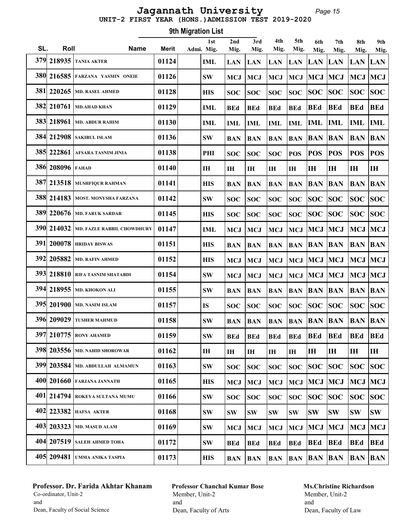#### Page 15 UNIT-2 FIRST YEAR (HONS.)ADMISSION TEST 2019-2020 Jagannath University

Roll Name Merit 1st SL. Roll Mame Merit Admi. Mig. 9th Migration List 2nd Mig. 3rd Mig. 4th Mig. 5th Mig. 6th Mig. 7th Mig. 8th Mig. 9th Mig. 379 218935 TANIA AKTER 01124 IML LAN LAN LAN LAN LAN LAN LAN LAN  $\sim$  380 216585 Farzana yasmin oneie  $-$  | 01126 SW | MCJ | MCJ | MCJ | MCJ | MCJ | MCJ | MCJ | MCJ | MCJ 381| 220265 | MD. RASEL AHMED | 01128 | HIS | SOC | SOC | SOC | SOC | SOC | SOC | SOC | SOC | SOC | SOC 382 210761 MD.AHAD KHAN 01129 IML BEd BEd BEd BEd BEd BEd BEd BEd  $\frac{383}{218961}$  MD. ABDUR RAHIM  $\left| \begin{array}{cc} 01130 \end{array} \right|$  IML  $\left| \begin{array}{cc} \end{array} \right|$  IML  $\left| \begin{array}{cc} \end{array} \right|$  IML  $\left| \begin{array}{cc} \end{array} \right|$  IML  $\left| \begin{array}{cc} \end{array} \right|$  IML  $\left| \begin{array}{cc} \end{array} \right|$  IML  $\left| \begin{array}{cc} \end{array} \right|$  IML 384 212908 SAKIBUL ISLAM 01136 SW BAN BAN BAN BAN BAN BAN BAN BAN 385 222861 AFSARA TASNIM JINIA  $|01138|$  PHI  $|soc|soc|soc|soc|pos|pos|pos|pos|pos$  386 208096 FAHAD 01140 IH IH IH IH IH IH IH IH IH 387 213518 MUSHFIQUR RAHMAN 01141 HIS BAN BAN BAN BAN BAN BAN BAN BAN 388 214183 MOST. MONYSHA FARZANA 01142 SW SOC SOC SOC SOC SOC SOC SOC SOC 389 220676 | md. faruk sardar | 01145 | | his | soc | soc | soc | soc | soc | soc | soc | soc | soc | soc 390 214032 MD. FAZLE RABBIL CHOWDHURY 01147  $\vert$  ML  $\vert$  MCJ  $\vert$  MCJ  $\vert$  MCJ  $\vert$  MCJ  $\vert$  MCJ  $\vert$  MCJ  $\vert$  MCJ  $\vert$  MCJ 391 200078 HRIDAY BISWAS 01151 HIS BAN BAN BAN BAN BAN BAN BAN BAN 392 205882 MD. RAFIN AHMED 01152 HIS MCJ MCJ MCJ MCJ MCJ MCJ MCJ MCJ  $\sim$  393| 218810 Rifa tasnim shatabdi  $\sim$  | 01154  $\mid$  sw  $\mid$  MCJ  $\mid$  MCJ  $\mid$  MCJ  $\mid$  MCJ  $\mid$  MCJ  $\mid$  MCJ  $\mid$  MCJ  $\mid$  MCJ 394 218955 MD. KHOKON ALI 01155 SW BAN BAN BAN BAN BAN BAN BAN BAN 395| 201900 |md. nasim islam | 01157 | | IS | soc | soc | soc | soc | soc | soc | soc | soc | soc | soc 396 209029 TUSHER MAHMUD 01158 SW BAN BAN BAN BAN BAN BAN BAN BAN 397 210775 RONY AHAMED | 01159 | SW | BEd | BEd | BEd | BEd | BEd | BEd | BEd | BEd 398 203556 MD. NAHID SHOROWAR 01162 IH IH IH IH IH IH IH IH IH 399 203584 MD. ABDULLAH ALMAMUN 01163 SW SOC SOC SOC SOC SOC SOC SOC SOC 400 201660 FARJANA JANNATH 01165 HIS MCJ MCJ MCJ MCJ MCJ MCJ MCJ MCJ 401 214794 ROKEYA SULTANA MUMU 01166 SW SOC SOC SOC SOC SOC SOC SOC SOC 402 223382 HAFSA AKTER 01168 SW SW SW SW SW SW SW SW SW  $\sim$  403 203323 MD. MASUD ALAM  $\sim$  01169 SW MCJ MCJ MCJ MCJ MCJ MCJ MCJ MCJ MCJ 404 207519 SALEH AHMED TOHA 01172 SW BEd BEd BEd BEd BEd BEd BEd BEd 405 209481 UMMA ANIKA TASPIA 01173 HIS BAN BAN BAN BAN BAN BAN BAN BAN

### Professor. Dr. Farida Akhtar Khanam Co-ordinator, Unit-2 and Dean, Faculty of Social Science

Professor Chanchal Kumar Bose Member, Unit-2 and Dean, Faculty of Arts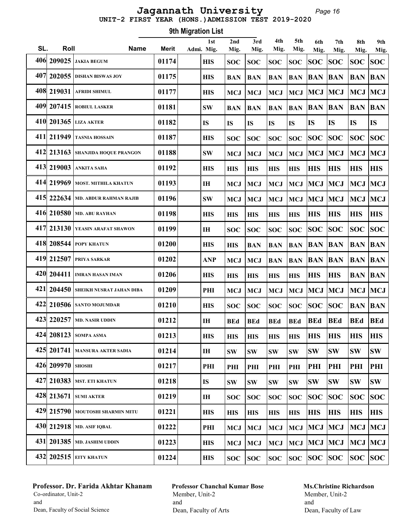# UNIT-2 FIRST YEAR (HONS.)ADMISSION TEST 2019-2020 Jagannath University

Page 16

|     | 9th Migration List |                                     |              |  |                   |             |               |             |             |             |             |             |             |
|-----|--------------------|-------------------------------------|--------------|--|-------------------|-------------|---------------|-------------|-------------|-------------|-------------|-------------|-------------|
| SL. | Roll               | <b>Name</b>                         | <b>Merit</b> |  | 1st<br>Admi. Mig. | 2nd<br>Mig. | 3rd<br>Mig.   | 4th<br>Mig. | 5th<br>Mig. | 6th<br>Mig. | 7th<br>Mig. | 8th<br>Mig. | 9th<br>Mig. |
| 406 |                    | $209025$ JAKIA BEGUM                | 01174        |  | <b>HIS</b>        | <b>SOC</b>  | <b>SOC</b>    | <b>SOC</b>  | <b>SOC</b>  | <b>SOC</b>  | <b>SOC</b>  | <b>SOC</b>  | <b>SOC</b>  |
|     |                    | 407 202055 DISHAN BISWAS JOY        | 01175        |  | <b>HIS</b>        | <b>BAN</b>  | <b>BAN</b>    | <b>BAN</b>  | <b>BAN</b>  | <b>BAN</b>  | <b>BAN</b>  | <b>BAN</b>  | <b>BAN</b>  |
|     |                    | 408 219031 AFRIDI SHIMUL            | 01177        |  | <b>HIS</b>        | <b>MCJ</b>  | <b>MCJ</b>    | <b>MCJ</b>  | <b>MCJ</b>  | <b>MCJ</b>  | <b>MCJ</b>  | <b>MCJ</b>  | <b>MCJ</b>  |
|     | 409 207415         | <b>ROBIUL LASKER</b>                | 01181        |  | <b>SW</b>         | <b>BAN</b>  | <b>BAN</b>    | <b>BAN</b>  | <b>BAN</b>  | <b>BAN</b>  | <b>BAN</b>  | <b>BAN</b>  | <b>BAN</b>  |
|     |                    | 410 201365 LIZA AKTER               | 01182        |  | <b>IS</b>         | <b>IS</b>   | <b>IS</b>     | <b>IS</b>   | <b>IS</b>   | <b>IS</b>   | <b>IS</b>   | IS          | <b>IS</b>   |
|     |                    | 411 211949 TASNIA HOSSAIN           | 01187        |  | <b>HIS</b>        | <b>SOC</b>  | <b>SOC</b>    | <b>SOC</b>  | <b>SOC</b>  | <b>SOC</b>  | <b>SOC</b>  | <b>SOC</b>  | <b>SOC</b>  |
|     |                    | 412 213163 SHANJIDA HOQUE PRANGON   | 01188        |  | <b>SW</b>         | <b>MCJ</b>  | <b>MCJ</b>    | <b>MCJ</b>  | <b>MCJ</b>  | <b>MCJ</b>  | <b>MCJ</b>  | <b>MCJ</b>  | <b>MCJ</b>  |
|     |                    | 413 219003 ANKITA SAHA              | 01192        |  | <b>HIS</b>        | <b>HIS</b>  | <b>HIS</b>    | <b>HIS</b>  | <b>HIS</b>  | <b>HIS</b>  | <b>HIS</b>  | <b>HIS</b>  | <b>HIS</b>  |
|     |                    | 414 219969 MOST. MITHILA KHATUN     | 01193        |  | IH                | <b>MCJ</b>  | <b>MCJ</b>    | <b>MCJ</b>  | <b>MCJ</b>  | <b>MCJ</b>  | <b>MCJ</b>  | <b>MCJ</b>  | <b>MCJ</b>  |
|     |                    | 415 222634   MD. ABDUR RAHMAN RAJIB | 01196        |  | <b>SW</b>         | <b>MCJ</b>  | <b>MCJ</b>    | <b>MCJ</b>  | <b>MCJ</b>  | <b>MCJ</b>  | <b>MCJ</b>  | <b>MCJ</b>  | <b>MCJ</b>  |
|     |                    | 416 210580 MD. ABU RAYHAN           | 01198        |  | <b>HIS</b>        | <b>HIS</b>  | <b>HIS</b>    | <b>HIS</b>  | <b>HIS</b>  | <b>HIS</b>  | <b>HIS</b>  | <b>HIS</b>  | <b>HIS</b>  |
|     |                    | 417 213130 YEASIN ARAFAT SHAWON     | 01199        |  | IH                | <b>SOC</b>  | <b>SOC</b>    | <b>SOC</b>  | <b>SOC</b>  | SOC         | <b>SOC</b>  | <b>SOC</b>  | <b>SOC</b>  |
|     |                    | 418 208544 POPY KHATUN              | 01200        |  | <b>HIS</b>        | <b>HIS</b>  | <b>BAN</b>    | <b>BAN</b>  | <b>BAN</b>  | <b>BAN</b>  | <b>BAN</b>  | <b>BAN</b>  | <b>BAN</b>  |
|     |                    | 419 212507 PRIYA SARKAR             | 01202        |  | <b>ANP</b>        | <b>MCJ</b>  | <b>MCJ</b>    | <b>BAN</b>  | <b>BAN</b>  | <b>BAN</b>  | <b>BAN</b>  | <b>BAN</b>  | <b>BAN</b>  |
|     |                    | 420 204411   IMRAN HASAN IMAN       | 01206        |  | <b>HIS</b>        | <b>HIS</b>  | <b>HIS</b>    | <b>HIS</b>  | <b>HIS</b>  | <b>HIS</b>  | <b>HIS</b>  | <b>BAN</b>  | <b>BAN</b>  |
| 421 |                    | 204450 SHEIKH NUSRAT JAHAN DIBA     | 01209        |  | PHI               | <b>MCJ</b>  | <b>MCJ</b>    | <b>MCJ</b>  | <b>MCJ</b>  | <b>MCJ</b>  | <b>MCJ</b>  | <b>MCJ</b>  | <b>MCJ</b>  |
|     |                    | 422 210506 SANTO MOJUMDAR           | 01210        |  | <b>HIS</b>        | <b>SOC</b>  | <b>SOC</b>    | <b>SOC</b>  | <b>SOC</b>  | <b>SOC</b>  | <b>SOC</b>  | <b>BAN</b>  | <b>BAN</b>  |
|     |                    | 423 220257 MD. NASIR UDDIN          | 01212        |  | IH                | <b>BEd</b>  | <b>BEd</b>    | <b>BEd</b>  | <b>BEd</b>  | <b>BEd</b>  | <b>BEd</b>  | <b>BEd</b>  | <b>BEd</b>  |
|     |                    | 424 208123 SOMPA ASMA               | 01213        |  | <b>HIS</b>        | <b>HIS</b>  | <b>HIS</b>    | <b>HIS</b>  | <b>HIS</b>  | <b>HIS</b>  | <b>HIS</b>  | <b>HIS</b>  | <b>HIS</b>  |
|     |                    | 425 201741 MANSURA AKTER SADIA      | 01214        |  | IH                | <b>SW</b>   | <b>SW</b>     | <b>SW</b>   | <b>SW</b>   | <b>SW</b>   | <b>SW</b>   | <b>SW</b>   | <b>SW</b>   |
|     | 426 209970 SHOSHI  |                                     | 01217        |  | PHI               | PHI         | PHI           | PHI         | PHI         | PHI         | PHI         | PHI         | PHI         |
|     |                    | 427 210383 MST. ETI KHATUN          | 01218        |  | <b>IS</b>         | <b>SW</b>   | $\textbf{SW}$ | <b>SW</b>   | <b>SW</b>   | <b>SW</b>   | <b>SW</b>   | <b>SW</b>   | SW          |
|     |                    | 428 213671 SUMI AKTER               | 01219        |  | I <sub>H</sub>    | <b>SOC</b>  | <b>SOC</b>    | <b>SOC</b>  | <b>SOC</b>  | SOC         | SOC         | <b>SOC</b>  | <b>SOC</b>  |
|     |                    | 429 215790 MOUTOSHI SHARMIN MITU    | 01221        |  | <b>HIS</b>        | <b>HIS</b>  | <b>HIS</b>    | <b>HIS</b>  | <b>HIS</b>  | <b>HIS</b>  | <b>HIS</b>  | <b>HIS</b>  | <b>HIS</b>  |
|     |                    | 430 212918 MD. ASIF IQBAL           | 01222        |  | PHI               | <b>MCJ</b>  | <b>MCJ</b>    | <b>MCJ</b>  | <b>MCJ</b>  | MCJ MCJ     |             | MCJ         | MCJ         |
|     |                    | 431 201385   MD. JASHIM UDDIN       | 01223        |  | <b>HIS</b>        | <b>MCJ</b>  | <b>MCJ</b>    | <b>MCJ</b>  |             | MCJ MCJ MCJ |             | MCJ MCJ     |             |
|     |                    | 432 202515 EITY KHATUN              | 01224        |  | <b>HIS</b>        | <b>SOC</b>  | <b>SOC</b>    | <b>SOC</b>  |             | soc soc soc |             | SOC SOC     |             |

# Professor. Dr. Farida Akhtar Khanam Co-ordinator, Unit-2 and Dean, Faculty of Social Science

Professor Chanchal Kumar Bose Member, Unit-2 and Dean, Faculty of Arts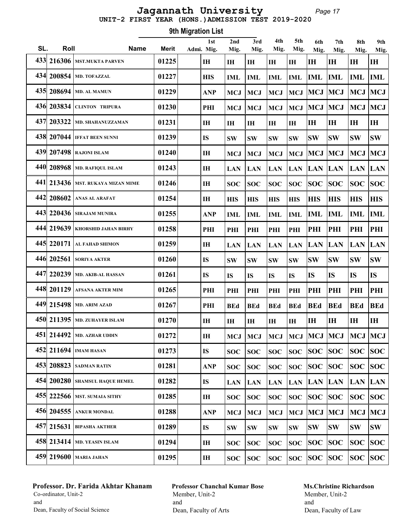#### Page 17 UNIT-2 FIRST YEAR (HONS.)ADMISSION TEST 2019-2020 Jagannath University

Roll Name Merit 1st SL. Roll Mame Merit Admi. Mig. 9th Migration List 2nd Mig. 3rd Mig. 4th Mig. 5th Mig. 6th Mig. 7th Mig. 8th Mig. 9th Mig. 433 216306 MST.MUKTA PARVEN 01225 IH IH IH IH IH IH IH IH IH 434 200854 MD. TOFAZZAL 01227 HIS IML IML IML IML IML IML IML IML 435 208694 MD. AL MAMUN 01229 ANP MCJ MCJ MCJ MCJ MCJ MCJ MCJ MCJ 436 203834 CLINTON TRIPURA | 01230 PHI | MCJ | MCJ | MCJ | MCJ | MCJ | MCJ | MCJ | MCJ  $\frac{437}{203322}$  MD. SHAHANUZZAMAN  $\left| \begin{array}{c|c} 01231 \end{array} \right|$  IH |IH |IH |IH |IH |IH |IH |IH |IH 438 207044 IFFAT BEEN SUNNI 01239 IS SW SW SW SW SW SW SW SW 439 207498 RAJONI ISLAM | 01240 | IH | MCJ | MCJ | MCJ | MCJ | MCJ | MCJ | MCJ | MCJ 440 208968 MD. RAFIQUL ISLAM 01243 IH LAN LAN LAN LAN LAN LAN LAN LAN 441 213436 MST. RUKAYA MIZAN MIME 01246 IH SOC SOC SOC SOC SOC SOC SOC SOC  $\frac{442}{208602}$  anas al arafat  $\frac{1}{101254}$  ihis  $\frac{1}{101}$  His  $\frac{1}{101}$  His  $\frac{1}{101}$  His  $\frac{1}{101}$  His  $\frac{1}{101}$  His  $\frac{1}{101}$ 443| 220436 SIRAJAM MUNIRA | 01255 | ANP | IML | IML | IML | IML | IML | IML | IML | IML 444 219639 KHORSHID JAHAN BIRHY 01258 PHI PHI PHI PHI PHI PHI PHI PHI PHI 445 220171 AL FAHAD SHIMON 01259 IH LAN LAN LAN LAN LAN LAN LAN LAN 446 202561 SORIYA AKTER 01260 IS SW SW SW SW SW SW SW SW  $\frac{447}{220239}$  MD. AKIB-AL HASSAN  $\frac{101261}{1}$  Is Is Is Is Is IS IS IS IS 448 201129 AFSANA AKTER MIM 01265 PHI PHI PHI PHI PHI PHI PHI PHI PHI 449 215498 MD. ARIM AZAD 01267 PHI BEd BEd BEd BEd BEd BEd BEd BEd 450| 211395 |md. zuhayer islam | 01270 | | ih | ih | ih | | ih | ih | ih | ih | ih | ih 451 214492 MD. AZHAR UDDIN 01272 IH MCJ MCJ MCJ MCJ MCJ MCJ MCJ MCJ 452 211694 IMAM HASAN 01273 IS SOC SOC SOC SOC SOC SOC SOC SOC 453 208823 SADMAN RATIN 01281 ANP SOC SOC SOC SOC SOC SOC SOC SOC  $\sim$  454 200280 SHAMSUL HAQUE HEMEL  $\sim$  | 01282 |  $\sim$  | IS | | LAN | LAN | LAN | LAN | LAN | LAN | LAN | LAN | LAN  $\frac{455}{222566}$  MST. SUMAIA SITHY  $\left| \begin{array}{cc} 01285 \end{array} \right|$  IH  $\left| \begin{array}{cc} \text{SOC} \end{array} \right|$  SOC  $\left| \begin{array}{cc} \text{SOC} \end{array} \right|$  SOC  $\left| \begin{array}{cc} \text{SOC} \end{array} \right|$  SOC  $\left| \begin{array}{cc} \text{SOC} \end{array} \right|$  SOC  $\left| \begin{array}{cc} \text{SOC} \end{array} \right|$ 456 204555 ANKUR MONDAL | 01288 | ANP | MCJ | MCJ | MCJ | MCJ | MCJ | MCJ | MCJ | MCJ 457 215631 BIPASHA AKTHER 01289 IS SW SW SW SW SW SW SW SW 458 213414 MD. YEASIN ISLAM  $|01294|$  IH  $|SOC|SOC|SOC|SOC|SOC|SOC|SOC$ 459| 219600 | маria jahan | 01295 | | ih | soc | soc | soc | soc | soc | soc | soc | soc | soc | soc

# Professor. Dr. Farida Akhtar Khanam Co-ordinator, Unit-2 and Dean, Faculty of Social Science

Professor Chanchal Kumar Bose Member, Unit-2 and Dean, Faculty of Arts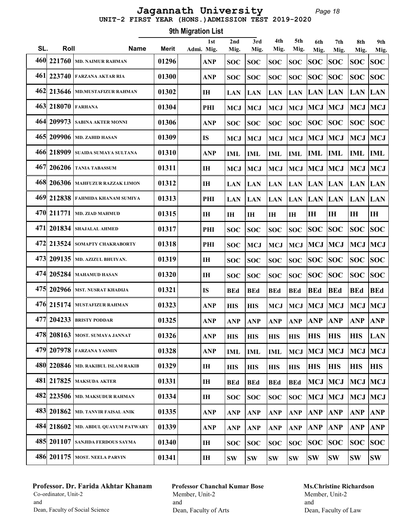Page 18 UNIT-2 FIRST YEAR (HONS.)ADMISSION TEST 2019-2020 Jagannath University

| <b>9th Migration List</b> |            |                                  |              |  |                   |                |               |             |                |             |             |             |             |
|---------------------------|------------|----------------------------------|--------------|--|-------------------|----------------|---------------|-------------|----------------|-------------|-------------|-------------|-------------|
| SL.                       | Roll       | <b>Name</b>                      | <b>Merit</b> |  | 1st<br>Admi. Mig. | 2nd<br>Mig.    | 3rd<br>Mig.   | 4th<br>Mig. | 5th<br>Mig.    | 6th<br>Mig. | 7th<br>Mig. | 8th<br>Mig. | 9th<br>Mig. |
|                           | 460 221760 | <b>MD. NAIMUR RAHMAN</b>         | 01296        |  | ANP               | <b>SOC</b>     | <b>SOC</b>    | <b>SOC</b>  | <b>SOC</b>     | <b>SOC</b>  | <b>SOC</b>  | <b>SOC</b>  | <b>SOC</b>  |
| 461                       | 223740     | <b>FARZANA AKTAR RIA</b>         | 01300        |  | <b>ANP</b>        | <b>SOC</b>     | <b>SOC</b>    | <b>SOC</b>  | <b>SOC</b>     | <b>SOC</b>  | SOC         | <b>SOC</b>  | <b>SOC</b>  |
| 462                       | 213646     | <b>MD.MUSTAFIZUR RAHMAN</b>      | 01302        |  | I <sub>H</sub>    | <b>LAN</b>     | <b>LAN</b>    | <b>LAN</b>  | <b>LAN</b>     | <b>LAN</b>  | <b>LAN</b>  | <b>LAN</b>  | <b>LAN</b>  |
|                           | 463 218070 | <b>FARHANA</b>                   | 01304        |  | PHI               | <b>MCJ</b>     | <b>MCJ</b>    | <b>MCJ</b>  | <b>MCJ</b>     | <b>MCJ</b>  | <b>MCJ</b>  | <b>MCJ</b>  | <b>MCJ</b>  |
|                           | 464 209973 | <b>SABINA AKTER MONNI</b>        | 01306        |  | <b>ANP</b>        | <b>SOC</b>     | <b>SOC</b>    | <b>SOC</b>  | <b>SOC</b>     | <b>SOC</b>  | <b>SOC</b>  | <b>SOC</b>  | <b>SOC</b>  |
|                           | 465 209906 | <b>MD. ZAHID HASAN</b>           | 01309        |  | <b>IS</b>         | <b>MCJ</b>     | <b>MCJ</b>    | <b>MCJ</b>  | <b>MCJ</b>     | <b>MCJ</b>  | <b>MCJ</b>  | <b>MCJ</b>  | <b>MCJ</b>  |
|                           | 466 218909 | SUAIDA SUMAYA SULTANA            | 01310        |  | <b>ANP</b>        | <b>IML</b>     | <b>IML</b>    | <b>IML</b>  | IML            | <b>IML</b>  | IML         | <b>IML</b>  | <b>IML</b>  |
| 467                       | 206206     | <b>TANIA TABASSUM</b>            | 01311        |  | IH                | <b>MCJ</b>     | <b>MCJ</b>    | <b>MCJ</b>  | <b>MCJ</b>     | <b>MCJ</b>  | <b>MCJ</b>  | <b>MCJ</b>  | <b>MCJ</b>  |
|                           | 468 206306 | <b>MAHFUZUR RAZZAK LIMON</b>     | 01312        |  | $\mathbf{I}$      | <b>LAN</b>     | <b>LAN</b>    | <b>LAN</b>  | <b>LAN</b>     | <b>LAN</b>  | <b>LAN</b>  | <b>LAN</b>  | <b>LAN</b>  |
|                           | 469 212838 | <b>FAHMIDA KHANAM SUMIYA</b>     | 01313        |  | PHI               | <b>LAN</b>     | <b>LAN</b>    | <b>LAN</b>  | <b>LAN</b>     | <b>LAN</b>  | <b>LAN</b>  | <b>LAN</b>  | <b>LAN</b>  |
|                           | 470 211771 | <b>MD. ZIAD MAHMUD</b>           | 01315        |  | I <sub>H</sub>    | I <sub>H</sub> | IH            | IH          | I <sub>H</sub> | IH          | <b>IH</b>   | IH          | IH          |
|                           | 471 201834 | <b>SHAJALAL AHMED</b>            | 01317        |  | PHI               | <b>SOC</b>     | <b>SOC</b>    | <b>SOC</b>  | <b>SOC</b>     | <b>SOC</b>  | <b>SOC</b>  | <b>SOC</b>  | <b>SOC</b>  |
|                           | 472 213524 | SOMAPTY CHAKRABORTY              | 01318        |  | PHI               | <b>SOC</b>     | <b>MCJ</b>    | <b>MCJ</b>  | <b>MCJ</b>     | <b>MCJ</b>  | <b>MCJ</b>  | <b>MCJ</b>  | <b>MCJ</b>  |
|                           | 473 209135 | MD. AZIZUL BHUIYAN.              | 01319        |  | IH                | <b>SOC</b>     | <b>SOC</b>    | <b>SOC</b>  | <b>SOC</b>     | <b>SOC</b>  | SOC         | <b>SOC</b>  | <b>SOC</b>  |
|                           | 474 205284 | <b>MAHAMUD HASAN</b>             | 01320        |  | IH                | <b>SOC</b>     | <b>SOC</b>    | <b>SOC</b>  | <b>SOC</b>     | <b>SOC</b>  | <b>SOC</b>  | <b>SOC</b>  | <b>SOC</b>  |
|                           | 475 202966 | <b>MST. NUSRAT KHADIJA</b>       | 01321        |  | <b>IS</b>         | <b>BEd</b>     | <b>BEd</b>    | <b>BEd</b>  | <b>BEd</b>     | <b>BEd</b>  | <b>BEd</b>  | <b>BEd</b>  | <b>BEd</b>  |
|                           | 476 215174 | <b>MUSTAFIZUR RAHMAN</b>         | 01323        |  | <b>ANP</b>        | <b>HIS</b>     | <b>HIS</b>    | <b>MCJ</b>  | <b>MCJ</b>     | <b>MCJ</b>  | <b>MCJ</b>  | <b>MCJ</b>  | MCJ         |
|                           |            | 477 204233 BRISTY PODDAR         | 01325        |  | <b>ANP</b>        | <b>ANP</b>     | ANP           | $ANP$ $ANP$ |                | <b>ANP</b>  | <b>ANP</b>  | <b>ANP</b>  | <b>ANP</b>  |
|                           |            | 478 208163   MOST. SUMAYA JANNAT | 01326        |  | <b>ANP</b>        | <b>HIS</b>     | <b>HIS</b>    | <b>HIS</b>  | <b>HIS</b>     | <b>HIS</b>  | <b>HIS</b>  | <b>HIS</b>  | LAN         |
|                           | 479 207978 | <b>FARZANA YASMIN</b>            | 01328        |  | <b>ANP</b>        | IML            | <b>IML</b>    | IML         | <b>MCJ</b>     | MCJ         | <b>MCJ</b>  | <b>MCJ</b>  | MCJ         |
|                           | 480 220846 | <b>MD. RAKIBUL ISLAM RAKIB</b>   | 01329        |  | IH                | <b>HIS</b>     | <b>HIS</b>    | <b>HIS</b>  | <b>HIS</b>     | <b>HIS</b>  | <b>HIS</b>  | <b>HIS</b>  | <b>HIS</b>  |
|                           | 481 217825 | <b>MAKSUDA AKTER</b>             | 01331        |  | IH                | <b>BEd</b>     | <b>BEd</b>    | <b>BEd</b>  | <b>BEd</b>     | <b>MCJ</b>  | MCJ         | <b>MCJ</b>  | <b>MCJ</b>  |
|                           | 482 223506 | <b>MD. MAKSUDUR RAHMAN</b>       | 01334        |  | IH                | <b>SOC</b>     | <b>SOC</b>    | <b>SOC</b>  | <b>SOC</b>     | <b>MCJ</b>  | MCJ         | <b>MCJ</b>  | MCJ         |
|                           | 483 201862 | <b>MD. TANVIR FAISAL ANIK</b>    | 01335        |  | <b>ANP</b>        | <b>ANP</b>     | <b>ANP</b>    | <b>ANP</b>  | <b>ANP</b>     | <b>ANP</b>  | <b>ANP</b>  | <b>ANP</b>  | <b>ANP</b>  |
|                           | 484 218602 | MD. ABDUL QUAYUM PATWARY         | 01339        |  | <b>ANP</b>        | <b>ANP</b>     | <b>ANP</b>    | <b>ANP</b>  | <b>ANP</b>     | <b>ANP</b>  | <b>ANP</b>  | <b>ANP</b>  | ANP         |
|                           | 485 201107 | SANJIDA FERDOUS SAYMA            | 01340        |  | IH                | <b>SOC</b>     | <b>SOC</b>    | <b>SOC</b>  | <b>SOC</b>     | <b>SOC</b>  | <b>SOC</b>  | <b>SOC</b>  | <b>SOC</b>  |
|                           |            | 486 201175 MOST. NEELA PARVIN    | 01341        |  | IH                | $\textbf{SW}$  | $\textbf{SW}$ | SW          | <b>SW</b>      | <b>SW</b>   | SW          | <b>SW</b>   | <b>SW</b>   |

# Professor. Dr. Farida Akhtar Khanam Co-ordinator, Unit-2 and Dean, Faculty of Social Science

Professor Chanchal Kumar Bose Member, Unit-2 and Dean, Faculty of Arts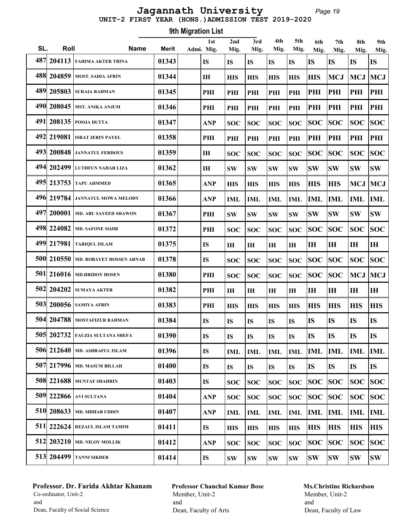#### Page 19 UNIT-2 FIRST YEAR (HONS.)ADMISSION TEST 2019-2020 Jagannath University

Roll Name Merit 1st SL. Roll Mame Merit Admi. Mig. 9th Migration List 2nd Mig. 3rd Mig. 4th Mig. 5th Mig. 6th Mig. 7th Mig. 8th Mig. 9th Mig. 487 204113 FAHIMA AKTER TRINA 101343 IS IS IS IS IS IS IS IS IS 488| 204859 | most. sadia afrin | 01344 | his | his | his | his | his | mcj | mcj | mcj 489| 205803 | suraia rahman | 01345 | | phi | phi | phi | phi | phi | phi | phi | phi | phi 490 208045 MST. ANIKA ANJUM 01346 PHI PHI PHI PHI PHI PHI PHI PHI PHI  $\frac{491}{208135}$  Pooja dutta  $\left| \begin{array}{cc} 01347 \end{array} \right|$  ANP  $\left| \begin{array}{cc} \text{SOC} \end{array} \right|$  SOC  $\left| \begin{array}{cc} \text{SOC} \end{array} \right|$  SOC  $\left| \begin{array}{cc} \text{SOC} \end{array} \right|$  SOC  $\left| \begin{array}{cc} \text{SOC} \end{array} \right|$  SOC  $\left| \begin{array}{cc} \text{SOC} \end{array} \right|$  492 219081 ISRAT JERIN PAYEL 01358 PHI PHI PHI PHI PHI PHI PHI PHI PHI 493 200848 JANNATUL FERDOUS 01359 IH SOC SOC SOC SOC SOC SOC SOC SOC 494 202499 LUTHFUN NAHAR LIZA 01362 IH SW SW SW SW SW SW SW SW 495 213753 TAPU AHMMED (01365 ANP HIS HIS HIS HIS HIS MCJ MCJ 496 219784 JANNATUL MOWA MELODY 01366 ANP IML IML IML IML IML IML IML IML 497 200001 MD. ABU SAYEED SHAWON 01367 PHI SW SW SW SW SW SW SW SW 498 224082 MD. SAFONE SOJIB  $|01372|$  PHI SOC SOC SOC SOC SOC SOC SOC SOC SOC 499 217981 TARIQUL ISLAM 01375 IS IH IH IH IH IH IH IH IH 500 210550 MD. ROBAYET HOSSEN ARNAB 01378 IS SOC SOC SOC SOC SOC SOC SOC SOC 501 216016 MD.HRIDOY HOSEN  $|$  01380 PHI  $|$  SOC  $|$  SOC  $|$  SOC  $|$  SOC  $|$  SOC  $|$  SOC  $|$  MCJ  $|$  MCJ 502 204202 SUMAYA AKTER 01382 PHI IH IH IH IH IH IH IH IH 503 200056 SAMIYA AFRIN 191383 PHI HIS HIS HIS HIS HIS HIS HIS HIS HIS 504 204788 MOSTAFIZUR RAHMAN  $\vert$  01384  $\vert$  is is is is is is is is is is is is in 505 202732 FAUZIA SULTANA SHEFA 01390 IS IS IS IS IS IS IS IS IS 506 212640 MD. ASHRAFUL ISLAM | 01396 | IS | IML | IML | IML | IML | IML | IML | IML | IML 507 217996 MD. MASUM BILLAH 101400 IS IS IS IS IS IS IS IS IS 508 221688 MUNTAF SHAHRIN 01403 IS SOC SOC SOC SOC SOC SOC SOC SOC 509 222866 AVI SULTANA 01404 ANP SOC SOC SOC SOC SOC SOC SOC SOC 510 208633 MD. SHIHAB UDDIN  $|01407|$  ANP  $|1ML$   $|1ML$   $|1ML$   $|1ML$   $|1ML$   $|1ML$   $|1ML$   $|1ML$ 511 222624 REZAUL ISLAM TAMIM 101411 IS HIS HIS HIS HIS HIS HIS HIS HIS HIS 512 203210 MD. NILOY MOLLIK 01412 ANP SOC SOC SOC SOC SOC SOC SOC SOC 513| 204499 | tanni sikder | 01414 | | IS | sw | sw | sw | sw | sw | sw | sw

# Professor. Dr. Farida Akhtar Khanam Co-ordinator, Unit-2 and Dean, Faculty of Social Science

Professor Chanchal Kumar Bose Member, Unit-2 and Dean, Faculty of Arts

# Ms.Christine Richardson Member, Unit-2 and

Dean, Faculty of Law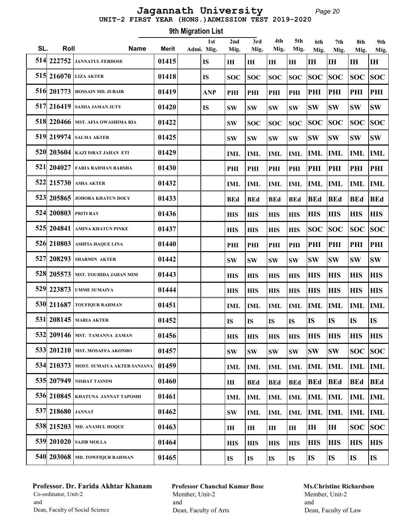#### Page 20 UNIT-2 FIRST YEAR (HONS.)ADMISSION TEST 2019-2020 Jagannath University

Roll Name Merit 1st SL. Roll Mame Merit Admi. Mig. 9th Migration List 2nd Mig. 3rd Mig. 4th Mig. 5th Mig. 6th Mig. 7th Mig. 8th Mig. 9th Mig. 514 222752 JANNATUL FERDOSE  $|01415|$  IS  $|$  IH  $|$  IH  $|$  IH  $|$  IH  $|$  IH  $|$  IH  $|$  IH  $|$  IH  $|$  IH  $|$  IH  $|$  IH  $|$  IH  $|$  IH  $|$  IH  $|$  IH  $|$  IH  $|$  IH  $|$  IH  $|$  IH  $|$  IH  $|$  IH  $|$  IH  $|$  IH  $|$  IH  $|$  IH  $|$  I 515 216070 LIZA AKTER 101418 IS ISOC SOC SOC SOC SOC SOC SOC SOC SOC SOC 516 201773 HOSSAIN MD. JUBAIR | 01419 | ANP PHI PHI PHI PHI PHI PHI PHI PHI PHI 517 216419 SAMIA JAMAN JUTY 01420 IS SW SW SW SW SW SW SW SW 518 220466 MST. AFIA OWASHIMA RIA 01422 SW SOC SOC SOC SOC SOC SOC SOC 519 219974 SALMA AKTER 01425 SW SW SW SW SW SW SW SW 520 203604 KAZI ISRAT JAHAN ETI 01429 IML IML IML IML IML IML IML IML 521 204027 FARIA RAHMAN BARSHA 01430 PHI PHI PHI PHI PHI PHI PHI PHI 522 215730 ASHA AKTER 01432 IML IML IML IML IML IML IML IML 523 205865 JOHORA KHATUN DOLY 01433 BEd BEd BEd BEd BEd BEd BEd BEd 524 200803 PRITI RAY 01436 HIS HIS HIS HIS HIS HIS HIS HIS 525 204841 AMINA KHATUN PINKE 01437 HIS HIS HIS HIS SOC SOC SOC SOC 526 210803 ASHFIA HAQUE LINA 01440 PHI PHI PHI PHI PHI PHI PHI PHI 527 208293 SHARMIN AKTER 01442 SW SW SW SW SW SW SW SW 528 205573 MST. TOUHIDA JAHAN MIM 01443 HIS HIS HIS HIS HIS HIS HIS HIS 529 223873 UMME SUMAIYA 01444 HIS HIS HIS HIS HIS HIS HIS HIS 530 211687 | toufiqur rahman  $\qquad$  | 01451 |  $\qquad$  |  $\qquad$  |  $\qquad$  |  $\qquad$  |  $\qquad$  |  $\qquad$  |  $\qquad$  |  $\qquad$  |  $\qquad$  |  $\qquad$  |  $\qquad$  |  $\qquad$  |  $\qquad$  |  $\qquad$  |  $\qquad$  |  $\qquad$  |  $\qquad$  |  $\qquad$  |  $\qquad$  |  $\qquad$  |  $\qquad$  |  $\qquad$  | 531 208145 MARIA AKTER 01452 IS IS IS IS IS IS IS IS 532 209146 MST. TAMANNA ZAMAN 01456 HIS HIS HIS HIS HIS HIS HIS HIS 533 201210 MST. MOSAFFA AKONDO 01457 SW SW SW SW SW SW SOC SOC 534 210373 MOST. SUMAIYA AKTER SANJANA 01459 IML IML IML IML IML IML IML IML 535 207949 NISHAT TASNIM 01460 IH BEd BEd BEd BEd BEd BEd BEd 536 210845 KHATUNA JANNAT TAPOSHI 01461 IML IML IML IML IML IML IML IML  $\frac{537}{218680}$  Jannat  $\frac{101462}{101462}$   $\frac{1}{\text{SW}}$   $\frac{1}{\text{ML}}$   $\frac{1}{\text{ML}}$   $\frac{1}{\text{ML}}$   $\frac{1}{\text{ML}}$   $\frac{1}{\text{ML}}$   $\frac{1}{\text{ML}}$  538 215203 MD. ANAMUL HOQUE 01463 IH IH IH IH IH IH SOC SOC 539 201020 SAJIB MOLLA 01464 HIS HIS HIS HIS HIS HIS HIS HIS 540 203068 MD. TOWFIQUR RAHMAN  $\parallel$  01465  $\parallel$  is its is its its its its its its

# Professor. Dr. Farida Akhtar Khanam Co-ordinator, Unit-2 and Dean, Faculty of Social Science

Professor Chanchal Kumar Bose Member, Unit-2 and Dean, Faculty of Arts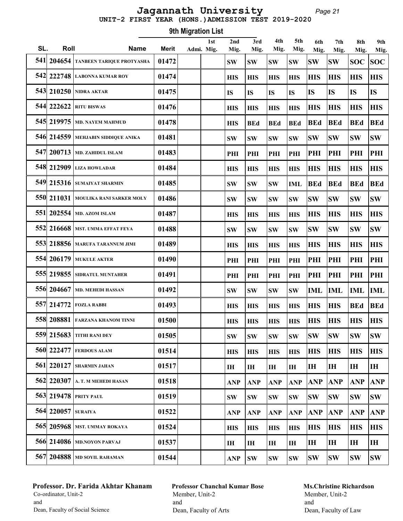Page 21 UNIT-2 FIRST YEAR (HONS.)ADMISSION TEST 2019-2020 Jagannath University

Roll Name Merit 1st SL. Roll Mame Merit Admi. Mig. 9th Migration List 2nd Mig. 3rd Mig. 4th Mig. 5th Mig. 6th Mig. 7th Mig. 8th Mig. 9th Mig. 541 204654 TANBEEN TARIQUE PROTYASHA  $\mid$  01472  $\mid$  sw sw sw sw sw Sw Sw Sw Sw Soc Soc 542 222748 LABONNA KUMAR ROY 01474 HIS HIS HIS HIS HIS HIS HIS HIS 543 210250 NIDRA AKTAR 01475 IS IS IS IS IS IS IS IS 544 222622 RITU BISWAS 01476 HIS HIS HIS HIS HIS HIS HIS HIS 545 219975 MD. NAYEM MAHMUD 01478 HIS BEd BEd BEd BEd BEd BEd BEd 546 214559 MEHJABIN SIDDIQUE ANIKA 01481 SW SW SW SW SW SW SW SW 547 200713 MD. ZAHIDUL ISLAM 01483 PHI PHI PHI PHI PHI PHI PHI PHI 548 212909 LIZA HOWLADAR 101484 HIS HIS HIS HIS HIS HIS HIS HIS HIS 549 215316 SUMAIYAT SHARMIN 01485 SW SW SW IML BEd BEd BEd BEd 550 211031 MOULIKA RANI SARKER MOLY | 01486 | SW SW SW SW SW SW SW SW SW SW SW SW 551 202554 MD. AZOM ISLAM 101487 | 188 | 189 | 189 | 189 | 189 | 189 | 189 | 189 | 189 | 189 | 189 | 189 | 18 552 216668 MST. UMMA EFFAT FEYA 01488 SW SW SW SW SW SW SW SW 553 218856 MARUFA TARANNUM JIMI 01489 HIS HIS HIS HIS HIS HIS HIS HIS 554 206179 MUKULE AKTER 01490 PHI PHI PHI PHI PHI PHI PHI PHI 555 219855 SIDRATUL MUNTAHER 01491 PHI PHI PHI PHI PHI PHI PHI PHI 556 204667 MD. MEHEDI HASSAN 01492 SW SW SW SW IML IML IML IML 557 214772 FOZLA RABBI 01493 HIS HIS HIS HIS HIS HIS BEd BEd 558 208881 FARZANA KHANOM TINNI 01500 HIS HIS HIS HIS HIS HIS HIS HIS 559 215683 TITHI RANI DEY 01505 SW SW SW SW SW SW SW SW 560 222477 FERDOUS ALAM 01514 HIS HIS HIS HIS HIS HIS HIS HIS 561 220127 SHARMIN JAHAN 01517 IH IH IH IH IH IH IH IH 562 220307 A. T. M MEHEDI HASAN 01518 ANP ANP ANP ANP ANP ANP ANP ANP 563 219478 PRITY PAUL 101519 SW SW SW SW SW SW SW SW SW 564 220057 SURAIYA 01522 ANP ANP ANP ANP ANP ANP ANP ANP 565 205968 MST. UMMAY ROKAYA 01524 HIS HIS HIS HIS HIS HIS HIS HIS 566 214086 MD.NOYON PARVAJ 01537 IH IH IH IH IH IH IH IH 567 204888 MD SOYIL RAHAMAN 01544 ANP SW SW SW SW SW SW SW

# Professor. Dr. Farida Akhtar Khanam Co-ordinator, Unit-2 and Dean, Faculty of Social Science

Professor Chanchal Kumar Bose Member, Unit-2 and Dean, Faculty of Arts

#### Ms.Christine Richardson Member, Unit-2 and

Dean, Faculty of Law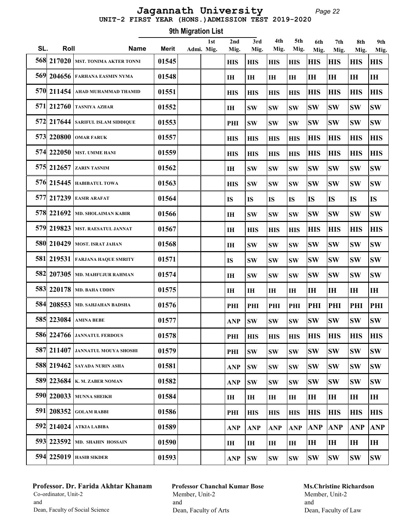# UNIT-2 FIRST YEAR (HONS.)ADMISSION TEST 2019-2020 Jagannath University

Page 22

|     | 9th Migration List |                                      |              |  |            |                |                |                |            |            |            |               |            |
|-----|--------------------|--------------------------------------|--------------|--|------------|----------------|----------------|----------------|------------|------------|------------|---------------|------------|
| SL. | Roll               | <b>Name</b>                          | <b>Merit</b> |  | 1st        | 2nd            | 3rd            | 4th            | 5th        | 6th        | 7th        | 8th           | 9th        |
|     |                    | 568 217020   mst. tonima akter tonni | 01545        |  | Admi. Mig. | Mig.           | Mig.           | Mig.           | Mig.       | Mig.       | Mig.       | Mig.          | Mig.       |
|     |                    |                                      |              |  |            | <b>HIS</b>     | <b>HIS</b>     | <b>HIS</b>     | <b>HIS</b> | <b>HIS</b> | <b>HIS</b> | <b>HIS</b>    | <b>HIS</b> |
|     |                    | 569 204656 FARHANA EASMIN NYMA       | 01548        |  |            | IН             | I <sub>H</sub> | I <sub>H</sub> | IH         | <b>IH</b>  | IH         | IH            | IH         |
|     |                    | 570 211454 AHAD MUHAMMAD THAMID      | 01551        |  |            | <b>HIS</b>     | <b>HIS</b>     | <b>HIS</b>     | <b>HIS</b> | <b>HIS</b> | <b>HIS</b> | <b>HIS</b>    | <b>HIS</b> |
|     |                    | 571 212760 TASNIYA AZHAR             | 01552        |  |            | IH             | <b>SW</b>      | <b>SW</b>      | <b>SW</b>  | <b>SW</b>  | <b>SW</b>  | <b>SW</b>     | <b>SW</b>  |
|     |                    | 572 217644 SARIFUL ISLAM SIDDIQUE    | 01553        |  |            | PHI            | <b>SW</b>      | <b>SW</b>      | <b>SW</b>  | <b>SW</b>  | SW         | <b>SW</b>     | <b>SW</b>  |
|     |                    | 573 220800 OMAR FARUK                | 01557        |  |            | <b>HIS</b>     | <b>HIS</b>     | <b>HIS</b>     | <b>HIS</b> | <b>HIS</b> | <b>HIS</b> | <b>HIS</b>    | <b>HIS</b> |
|     |                    | 574 222050 MST. UMME HANI            | 01559        |  |            | <b>HIS</b>     | <b>HIS</b>     | <b>HIS</b>     | <b>HIS</b> | <b>HIS</b> | <b>HIS</b> | <b>HIS</b>    | <b>HIS</b> |
|     |                    | 575 212657 ZARIN TASNIM              | 01562        |  |            | IН             | <b>SW</b>      | <b>SW</b>      | <b>SW</b>  | <b>SW</b>  | SW         | <b>SW</b>     | <b>SW</b>  |
|     |                    | 576 215445 HABIBATUL TOWA            | 01563        |  |            | <b>HIS</b>     | <b>SW</b>      | <b>SW</b>      | <b>SW</b>  | <b>SW</b>  | <b>SW</b>  | <b>SW</b>     | <b>SW</b>  |
|     |                    | 577 217239 EASIR ARAFAT              | 01564        |  |            | <b>IS</b>      | <b>IS</b>      | <b>IS</b>      | <b>IS</b>  | <b>IS</b>  | <b>IS</b>  | <b>IS</b>     | <b>IS</b>  |
|     |                    | 578 221692 MD. SHOLAIMAN KABIR       | 01566        |  |            | IH             | <b>SW</b>      | <b>SW</b>      | <b>SW</b>  | <b>SW</b>  | <b>SW</b>  | <b>SW</b>     | <b>SW</b>  |
|     |                    | 579 219823 MST. RAESATUL JANNAT      | 01567        |  |            | I <sub>H</sub> | <b>HIS</b>     | <b>HIS</b>     | <b>HIS</b> | <b>HIS</b> | <b>HIS</b> | <b>HIS</b>    | <b>HIS</b> |
|     |                    | 580 210429 MOST. ISRAT JAHAN         | 01568        |  |            | IH             | <b>SW</b>      | <b>SW</b>      | <b>SW</b>  | <b>SW</b>  | <b>SW</b>  | <b>SW</b>     | <b>SW</b>  |
|     |                    | 581 219531 FARJANA HAQUE SMRITY      | 01571        |  |            | <b>IS</b>      | <b>SW</b>      | <b>SW</b>      | <b>SW</b>  | <b>SW</b>  | <b>SW</b>  | <b>SW</b>     | <b>SW</b>  |
|     |                    | 582 207305   MD. MAHFUJUR RAHMAN     | 01574        |  |            | IH             | <b>SW</b>      | <b>SW</b>      | <b>SW</b>  | <b>SW</b>  | <b>SW</b>  | <b>SW</b>     | <b>SW</b>  |
|     |                    | 583 220178   MD. BAHA UDDIN          | 01575        |  |            | IH             | I <sub>H</sub> | IH             | IH         | IH         | IН         | IH            | IH         |
|     |                    | 584 208553 MD. SAHJAHAN BADSHA       | 01576        |  |            | PHI            | PHI            | PHI            | PHI        | PHI        | PHI        | PHI           | PHI        |
|     |                    | 585 223084   AMINA BEBE              | 01577        |  |            | ANP            | SW             | <b>SW</b>      | SW         | <b>SW</b>  | <b>SW</b>  | $\textbf{SW}$ | <b>SW</b>  |
|     |                    | <b>586 224766 JANNATUL FERDOUS</b>   | 01578        |  |            | PHI            | <b>HIS</b>     | <b>HIS</b>     | <b>HIS</b> | <b>HIS</b> | <b>HIS</b> | <b>HIS</b>    | <b>HIS</b> |
|     |                    | 587 211407 JANNATUL MOUYA SHOSHI     | 01579        |  |            | PHI            | <b>SW</b>      | <b>SW</b>      | <b>SW</b>  | <b>SW</b>  | <b>SW</b>  | <b>SW</b>     | <b>SW</b>  |
|     |                    | 588 219462 SAYADA NURIN ASHA         | 01581        |  |            | <b>ANP</b>     | <b>SW</b>      | <b>SW</b>      | <b>SW</b>  | <b>SW</b>  | <b>SW</b>  | <b>SW</b>     | <b>SW</b>  |
|     |                    | 589 223684   K. M. ZABER NOMAN       | 01582        |  |            | <b>ANP</b>     | <b>SW</b>      | <b>SW</b>      | <b>SW</b>  | <b>SW</b>  | <b>SW</b>  | <b>SW</b>     | <b>SW</b>  |
|     |                    | 590 220033 MUNNA SHEIKH              | 01584        |  |            | IH             | IH             | IH             | IH         | IH         | ΙH         | IH            | IH         |
|     |                    | 591 208352 GOLAM RABBI               | 01586        |  |            | PHI            | <b>HIS</b>     | <b>HIS</b>     | <b>HIS</b> | <b>HIS</b> | <b>HIS</b> | <b>HIS</b>    | <b>HIS</b> |
|     |                    | 592 214024 ATKIA LABIBA              | 01589        |  |            | <b>ANP</b>     | ANP            | <b>ANP</b>     | <b>ANP</b> | <b>ANP</b> | <b>ANP</b> | <b>ANP</b>    | <b>ANP</b> |
|     |                    | 593 223592 MD. SHAHIN HOSSAIN        | 01590        |  |            | I <sub>H</sub> | $\mathbf{H}$   | I <sub>H</sub> | IН         | IH         | IН         | IH            | IH         |
|     |                    | 594 225019   HASIB SIKDER            | 01593        |  |            | <b>ANP</b>     | $\textbf{SW}$  | <b>SW</b>      | <b>SW</b>  | <b>SW</b>  | SW         | <b>SW</b>     | <b>SW</b>  |

# Professor. Dr. Farida Akhtar Khanam Co-ordinator, Unit-2 and Dean, Faculty of Social Science

Professor Chanchal Kumar Bose Member, Unit-2 and Dean, Faculty of Arts

# Ms.Christine Richardson Member, Unit-2 and

Dean, Faculty of Law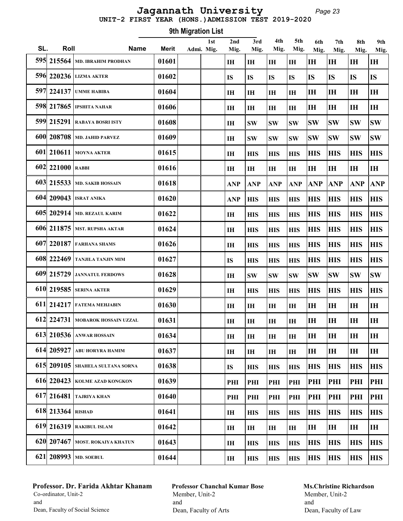#### Page 23 UNIT-2 FIRST YEAR (HONS.)ADMISSION TEST 2019-2020 Jagannath University

Roll Name Merit 1st SL. Roll Mame Merit Admi. Mig. 9th Migration List 2nd Mig. 3rd Mig. 4th Mig. 5th Mig. 6th Mig. 7th Mig. 8th Mig. 9th Mig. 595 215564 MD. IBRAHIM PRODHAN 01601 IH IH IH IH IH IH IH IH 596 220236 LIZMA AKTER 01602 IS IS IS IS IS IS IS IS 597 224137 UMME HABIBA 01604 IH IH IH IH IH IH IH IH 598 217865 IPSHITA NAHAR 01606 IH IH IH IH IH IH IH IH 599 215291 RABAYA BOSRI ISTY 01608 IH SW SW SW SW SW SW SW 600 208708 MD. JAHID PARVEZ 101609 IH SW SW SW SW SW SW SW SW 601 210611 MOYNA AKTER **101615** 1 **H** HIS HIS HIS HIS HIS HIS HIS HIS 602 221000 RABBI 01616 IH IH IH IH IH IH IH IH 603 215533 MD. SAKIB HOSSAIN 01618 ANP ANP ANP ANP ANP ANP ANP ANP 604 209043 ISRAT ANIKA 01620 ANP HIS HIS HIS HIS HIS HIS HIS 605 202914 MD. REZAUL KARIM 01622 IH HIS HIS HIS HIS HIS HIS HIS 606 211875 MST. RUPSHA AKTAR 01624 IH HIS HIS HIS HIS HIS HIS HIS 607 220187 FARHANA SHAMS 01626 IH HIS HIS HIS HIS HIS HIS HIS 608 222469 TANJILA TANJIN MIM 101627 15 15 HIS HIS HIS HIS HIS HIS HIS HIS 609 215729 JANNATUL FERDOWS 101628 1 IH SW SW SW SW SW SW SW SW SW 610 219585 SERINA AKTER 01629 IH HIS HIS HIS HIS HIS HIS HIS 611 214217 FATEMA MEHJABIN 01630 IH IH IH IH IH IH IH IH 612 224731 MOBAROK HOSSAIN UZZAL  $\parallel$  01631  $\parallel$  IH  $\parallel$  IH  $\parallel$  IH  $\parallel$  IH  $\parallel$  IH  $\parallel$  IH  $\parallel$  IH  $\parallel$  IH 613 210536 ANWAR HOSSAIN 01634 IH IH IH IH IH IH IH IH 614 205927 ABU HORYRA HAMIM  $|01637|$  | |H |H |H |H |H |H |H |H |H 615 209105 SHAHELA SULTANA SORNA 01638 IS HIS HIS HIS HIS HIS HIS HIS 616 220423 KOLME AZAD KONGKON 01639 PHI PHI PHI PHI PHI PHI PHI PHI 617 216481 TAJRIYA KHAN 01640 PHI PHI PHI PHI PHI PHI PHI PHI 618 213364 RISHAD 01641 IH HIS HIS HIS HIS HIS HIS HIS 619 216319 RAKIBUL ISLAM 01642 IH IH IH IH IH IH IH IH 620 207467 MOST. ROKAIYA KHATUN 01643 IH HIS HIS HIS HIS HIS HIS HIS 621 208993 MD. SOEBUL 01644 IH HIS HIS HIS HIS HIS HIS HIS

# Professor. Dr. Farida Akhtar Khanam Co-ordinator, Unit-2 and Dean, Faculty of Social Science

Professor Chanchal Kumar Bose Member, Unit-2 and Dean, Faculty of Arts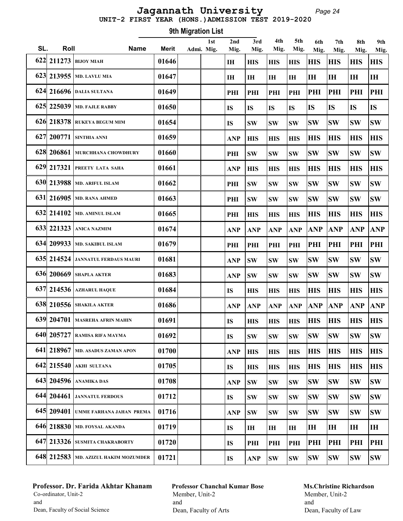#### Page 24 UNIT-2 FIRST YEAR (HONS.)ADMISSION TEST 2019-2020 Jagannath University

Roll Name Merit 1st SL. Roll Mame Merit Admi. Mig. 9th Migration List 2nd Mig. 3rd Mig. 4th Mig. 5th Mig. 6th Mig. 7th Mig. 8th Mig. 9th Mig. 622 211273 BIJOY MIAH 01646 IH HIS HIS HIS HIS HIS HIS HIS 623 213955 MD. LAVLU MIA 01647 IH IH IH IH IH IH IH IH 624 216696 DALIA SULTANA 01649 PHI PHI PHI PHI PHI PHI PHI PHI 625 225039 MD. FAJLE RABBY  $|01650|$   $|$   $|$  is  $|$  is  $|$  is  $|$  is  $|$  is  $|$  is  $|$  is  $|$  is  $|$  is  $|$  is 626 218378 RUKEYA BEGUM MIM 101654 IS SW SW SW SW SW SW SW SW 627 200771 SINTHIA ANNI 01659 ANP HIS HIS HIS HIS HIS HIS HIS 628 206861 MURCHHANA CHOWDHURY 01660 PHI SW SW SW SW SW SW SW 629 217321 PREETY LATA SAHA 01661 ANP HIS HIS HIS HIS HIS HIS HIS 630 213988 MD. ARIFUL ISLAM 101662 PHI SW SW SW SW SW SW SW SW 631 216905 MD. RANA AHMED 101663 PHI SW SW SW SW SW SW SW SW 632 214102 MD. AMINUL ISLAM 101665 PHI HIS HIS HIS HIS HIS HIS HIS HIS HIS 633 221323 ANICA NAZMIM 01674 ANP ANP ANP ANP ANP ANP ANP ANP 634 209933 MD. SAKIBUL ISLAM 01679 PHI PHI PHI PHI PHI PHI PHI PHI 635 214524 JANNATUL FERDAUS MAURI 01681 ANP SW SW SW SW SW SW SW 636 200669 SHAPLA AKTER 01683 ANP SW SW SW SW SW SW SW 637 214536 AZHARUL HAQUE 01684 IS HIS HIS HIS HIS HIS HIS HIS 638 210556 SHAKILA AKTER 01686 ANP ANP ANP ANP ANP ANP ANP ANP 639 204701 MASREHA AFRIN MAHIN 01691 IS HIS HIS HIS HIS HIS HIS HIS 640 205727 RAMISA RIFA MAYMA 01692 IS SW SW SW SW SW SW SW 641 218967 MD. ASADUS ZAMAN APON 01700 ANP HIS HIS HIS HIS HIS HIS HIS HIS HIS 642 215540 AKHI SULTANA 01705 IS HIS HIS HIS HIS HIS HIS HIS 643 204596 ANAMIKA DAS 101708 AND SW SW SW SW SW SW SW SW 644 204461 JANNATUL FERDOUS | 01712 | IS SW SW SW SW SW SW SW SW 645 209401 UMME FARHANA JAHAN PREMA | 01716 | | | ANP |SW |SW |SW |SW |SW |SW |SW |SW |SW 646 218830 MD. FOYSAL AKANDA 01719 IS IH IH IH IH IH IH IH 647 213326 SUSMITA CHAKRABORTY 01720 IS PHI PHI PHI PHI PHI PHI PHI 648 212583 MD. AZIZUL HAKIM MOZUMDER 01721 IS ANP SW SW SW SW SW SW

# Professor. Dr. Farida Akhtar Khanam Co-ordinator, Unit-2 and Dean, Faculty of Social Science

Professor Chanchal Kumar Bose Member, Unit-2 and Dean, Faculty of Arts

#### Ms.Christine Richardson Member, Unit-2 and

Dean, Faculty of Law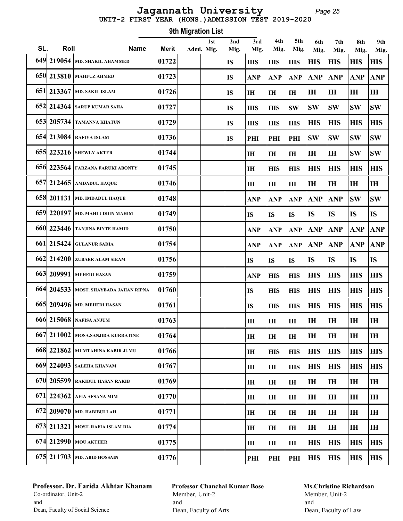#### Page 25 UNIT-2 FIRST YEAR (HONS.)ADMISSION TEST 2019-2020 Jagannath University

Roll Name Merit 1st SL. Roll Mame Merit Admi. Mig. 9th Migration List 2nd Mig. 3rd Mig. 4th Mig. 5th Mig. 6th Mig. 7th Mig. 8th Mig. 9th Mig. 649 219054 MD. SHAKIL AHAMMED  $\vert$  01722  $\vert$  Is  $\vert$  HIS HIS HIS HIS HIS HIS HIS HIS 650 213810 MAHFUZ AHMED  $\vert$  01723  $\vert$   $\vert$  is  $\vert$  anp  $\vert$  anp  $\vert$  anp  $\vert$  anp  $\vert$  anp  $\vert$  anp  $\vert$  anp  $\vert$  anp  $\vert$  anp  $\vert$  anp  $\vert$  anp  $\vert$  anp  $\vert$  anp  $\vert$  anp  $\vert$  anp  $\vert$  anp  $\vert$  anp  $\vert$  anp  $\vert$  anp  $\$  651 213367 MD. SAKIL ISLAM 01726 IS IH IH IH IH IH IH IH 652 214364 SARUP KUMAR SAHA 01727 IS HIS HIS SW SW SW SW SW 653 205734 TAMANNA KHATUN 01729 IS HIS HIS HIS HIS HIS HIS HIS HIS 654 213084 RAFIYA ISLAM 01736 IS PHI PHI PHI SW SW SW SW 655 223216 SHEWLY AKTER 101744 IH IH IH IH IH ISW SW 656 223564 FARZANA FARUKI ABONTY 01745 IH HIS HIS HIS HIS HIS HIS 657 212465 AMDADUL HAQUE 01746 IH IH IH IH IH IH IH 658 201131 MD. IMDADUL HAQUE 01748 ANP ANP ANP ANP ANP SW SW 659 220197 MD. MAHI UDDIN MAHIM  $\parallel$  01749  $\parallel$   $\parallel$   $\parallel$  is  $\parallel$  is  $\parallel$  is  $\parallel$  is  $\parallel$  is  $\parallel$  is  $\parallel$  is  $\parallel$  is 660 223446 TANJINA BINTE HAMID 01750 ANP ANP ANP ANP ANP ANP ANP 661 215424 GULANUR SADIA 01754 ANP ANP ANP ANP ANP ANP ANP 662 214200 ZUBAER ALAM SIEAM 01756 IS IS IS IS IS IS IS 663 209991 MEHEDI HASAN 01759 ANP HIS HIS HIS HIS HIS HIS 664 204533 MOST. SHAYEADA JAHAN RIPNA 01760 IS HIS HIS HIS HIS HIS HIS 665 209496 MD. MEHEDI HASAN 19761 1 IS HIS HIS HIS HIS HIS HIS HIS 666 215068 NAFISA ANJUM 01763 IH IH IH IH IH IH IH 667 211002 MOSA.SANJIDA KURRATINE 01764 IH IH IH IH IH IH IH 668 221862 MUMTAHINA KABIR JUMU 01766 IH HIS HIS HIS HIS HIS HIS 669 224093 SALEHA KHANAM 01767 IH IH HIS HIS HIS HIS HIS 670 205599 RAKIBUL HASAN RAKIB 01769 IH IH IH IH IH IH IH 671 224362 AFIA AFSANA MIM 01770 IH IH IH IH IH IH IH 672 209070 MD. HABIBULLAH 01771 IH IH IH IH IH IH IH 673 211321 MOST. RAFIA ISLAM DIA 01774 IH IH IH IH IH IH IH 674 212990 MOU AKTHER **101775** I IH IH IH IH HIS HIS HIS 675 211703 MD. ABID HOSSAIN 01776 PHI PHI PHI HIS HIS HIS HIS

# Professor. Dr. Farida Akhtar Khanam Co-ordinator, Unit-2 and Dean, Faculty of Social Science

Professor Chanchal Kumar Bose Member, Unit-2 and Dean, Faculty of Arts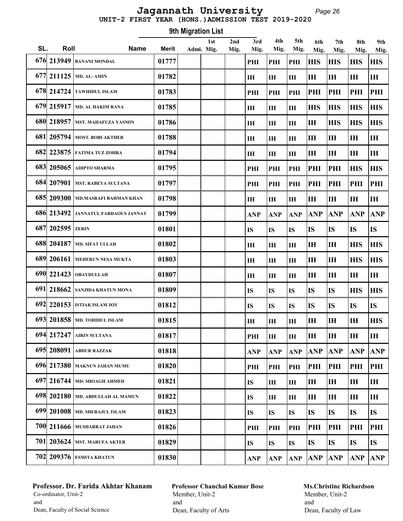#### Page 26 UNIT-2 FIRST YEAR (HONS.)ADMISSION TEST 2019-2020 Jagannath University

Roll Name Merit 1st SL. Roll Mame Merit Admi. Mig. 9th Migration List 2nd Mig. 3rd Mig. 4th Mig. 5th Mig. 6th Mig. 7th Mig. 8th Mig. 9th Mig. 676 213949 BANANI MONDAL 01777 PHI PHI PHI HIS HIS HIS HIS 677 211125 MD. AL- AMIN  $|01782|$  | | |H |H |H |H |H |H |H |H 678 214724 TAWHIDUL ISLAM 01783 PHI PHI PHI PHI PHI PHI PHI 679 215917 MD. AL HAKIM RANA 01785 IH IH IH HIS HIS HIS HIS 680 218957 MST. MAHAFUZA YASMIN 01786 IH IH IH IH HIS HIS HIS 681 205794 MOST. BOBI AKTHER 01788 IH IH IH IH IH IH IH 682 223875 FATIMA TUZ ZOHRA 01794 IH IH IH IH IH IH IH 683| 205065 | adipto sharma | 01795 | | | | | | | | | | | | | | | | | | | | | | | | | | | | | | | | | | | | 684 207901 MST. RABEYA SULTANA 01797 PHI PHI PHI PHI PHI PHI PHI 685 209300 MD.MASRAFI RAHMAN KHAN 01798 IH IH IH IH IH IH IH 686 213492 JANNATUL FARDAOUS JANNAT 01799 ANP ANP ANP ANP ANP ANP ANP 687 202595 ZERIN 01801 IS IS IS IS IS IS IS 688 204187 MD. SIFAT ULLAH 01802 IH IH IH IH IH HIS HIS 689 206161 MEHERUN NESA MUKTA 01803 IH IH IH IH IH HIS HIS 690 221423 OBAYDULLAH 01807 IH IH IH IH IH IH IH 691 218662 SANJIDA KHATUN MONA 01809 IS IS IS IS IS HIS HIS HIS 692 220153 ISTIAK ISLAM JOY 01812 IS IS IS IS IS IS IS 693 201858 MD. TOHIDUL ISLAM 01815 IH IH IH IH IH IH HIS 694 217247 AIRIN SULTANA 01817 PHI IH IH IH IH IH IH 695 208091 ABDUR RAZZAK 01818 ANP ANP ANP ANP ANP ANP ANP 696 217380 MAKNUN JAHAN MUMU 01820 PHI PHI PHI PHI PHI PHI PHI 697 216744 MD: SHOAGH AHMED 01821 IS IH IH IH IH IH IH 698 202180 MD. ABDULLAH AL MAMUN 01822 IS IH IH IH IH IH IH 699 201008 MD. SHERAJUL ISLAM 01823 IS IS IS IS IS IS IS 700 211666 MUSHARRAT JAHAN 01826 PHI PHI PHI PHI PHI PHI PHI  $701$  203624 Mst. marufa akter  $\qquad$  | 01829 |  $\qquad$  |  $\qquad$  | Is |Is |Is |Is |Is |Is |Is |Is 702 209376 ESMITA KHATUN 01830 ANP ANP ANP ANP ANP ANP ANP

# Professor. Dr. Farida Akhtar Khanam Co-ordinator, Unit-2 and Dean, Faculty of Social Science

Professor Chanchal Kumar Bose Member, Unit-2 and Dean, Faculty of Arts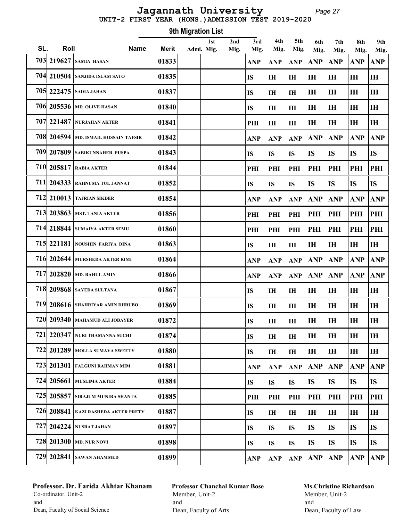#### Page 27 UNIT-2 FIRST YEAR (HONS.)ADMISSION TEST 2019-2020 Jagannath University

Roll Name Merit 1st SL. Roll Mame Merit Admi. Mig. 9th Migration List 2nd Mig. 3rd Mig. 4th Mig. 5th Mig. 6th Mig. 7th Mig. 8th Mig. 9th Mig. 703 219627 SAMIA HASAN 01833 ANP ANP ANP ANP ANP ANP ANP 704 210504 SANJIDA ISLAM SATO 01835 IS IH IH IH IH IH IH 705 222475 SADIA JAHAN 01837 IS IH IH IH IH IH IH 706 205536 MD. OLIVE HASAN 01840 IS IH IH IH IH IH IH 707 221487 NURJAHAN AKTER 01841 PHI IH IH IH IH IH IH 708 204594 MD. ISMAIL HOSSAIN TAFSIR 01842 ANP ANP ANP ANP ANP ANP ANP 709 207809 SABIKUNNAHER PUSPA 01843 IS IS IS IS IS IS IS 710 205817 RABIA AKTER 01844 PHI PHI PHI PHI PHI PHI PHI 711 204333 RAHNUMA TUL JANNAT 01852 IS IS IS IS IS IS IS 712 210013 TAJRIAN SIKDER 01854 ANP ANP ANP ANP ANP ANP ANP 713 203863 MST. TANIA AKTER 01856 PHI PHI PHI PHI PHI PHI PHI 714 218844 SUMAIYA AKTER SEMU 01860 PHI PHI PHI PHI PHI PHI PHI 715 221181 NOUSHIN FARIYA DINA 01863 IS IH IH IH IH IH IH 716 202644 MURSHEDA AKTER RIMI 01864 ANP ANP ANP ANP ANP ANP ANP 717 202820 MD. RAHUL AMIN 01866 ANP ANP ANP ANP ANP ANP ANP 718 209868 SAYEDA SULTANA 01867 IS IH IH IH IH IH IH 719 208616 SHAHRIYAR AMIN DHRUBO 01869 IS IH IH IH IH IH IH 720 209340 MAHAMUD ALI JOBAYER 01872 IS IH IH IH IH IH IH 721 220347 NURI THAMANNA SUCHI 01874 IS IH IH IH IH IH IH 722 201289 MOLLA SUMAYA SWEETY 01880 IS IH IH IH IH IH IH 723 201301 FALGUNI RAHMAN MIM 01881 ANP ANP ANP ANP ANP ANP ANP 724 205661 MUSLIMA AKTER 01884 IS IS IS IS IS IS IS 725| 205857 |sirajum munira shanta | 01885 | | | | | | | | | | | | | | | | | | | | | | | | | | | | | | | | | | | | 726 208841 KAZI RASHEDA AKTER PRETY 01887 IS IH IH IH IH IH IH 727 204224 NUSRAT JAHAN 01897 IS IS IS IS IS IS IS 728 201300 MD. NUR NOVI 01898 IS IS IS IS IS IS IS 729 202841 SAWAN AHAMMED 01899 ANP ANP ANP ANP ANP ANP ANP

# Professor. Dr. Farida Akhtar Khanam Co-ordinator, Unit-2 and Dean, Faculty of Social Science

Professor Chanchal Kumar Bose Member, Unit-2 and Dean, Faculty of Arts

# Ms.Christine Richardson Member, Unit-2 and

Dean, Faculty of Law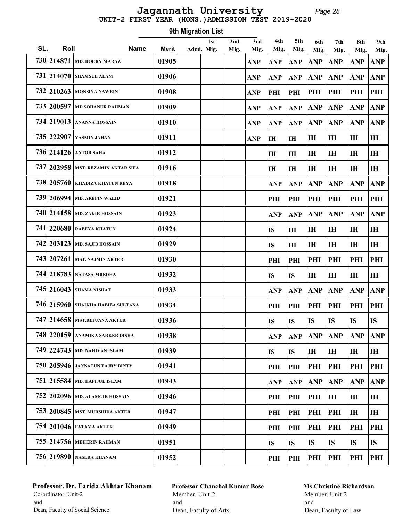#### Page 28 UNIT-2 FIRST YEAR (HONS.)ADMISSION TEST 2019-2020 Jagannath University

Roll Name Merit 1st SL. Roll Mame Merit Admi. Mig. 9th Migration List 2nd Mig. 3rd Mig. 4th Mig. 5th Mig. 6th Mig. 7th Mig. 8th Mig. 9th Mig. 730 214871 MD. ROCKY MARAZ 01905 ANP ANP ANP ANP ANP ANP ANP 731 214070 SHAMSUL ALAM 01906 ANP ANP ANP ANP ANP ANP ANP 732 210263 MONSIYA NAWRIN 01908 ANP PHI PHI PHI PHI PHI PHI 733 200597 MD SOHANUR RAHMAN 01909 ANP ANP ANP ANP ANP ANP ANP 734 219013 ANANNA HOSSAIN 01910 ANP ANP ANP ANP ANP ANP ANP 735| 222907 | yasmin jahan | | | | | | | | | | | | | | | | | | | | | | | | | | | | | | | | | | | | | | | | 736 214126 ANTOR SAHA 01912 IH IH IH IH IH IH 737 202958 MST. REZAMIN AKTAR SIFA 01916 IH IH IH IH IH IH 738 205760 KHADIZA KHATUN REYA 01918 ANP ANP ANP ANP ANP ANP 739 206994 MD. AREFIN WALID 01921 PHI PHI PHI PHI PHI PHI 740 214158 MD. ZAKIR HOSSAIN 01923 ANP ANP ANP ANP ANP ANP 741 220680 RABEYA KHATUN 01924 IS IH IH IH IH IH 742 203123 MD. SAJIB HOSSAIN 01929 IS IH IH IH IH IH 743 207261 MST. NAJMIN AKTER 01930 PHI PHI PHI PHI PHI PHI 744 218783 NATASA MREDHA 01932 IS IS IH IH IH IH 745| 216043 |shama nishat | 01933 | | | ANP |ANP |ANP |ANP |ANP |ANP 746 215960 SHAIKHA HABIBA SULTANA 01934 PHI PHI PHI PHI PHI PHI 747 214658 MST.REJUANA AKTER | 01936 | | | | | | | |S | |S | |S | |S | |S 748 220159 ANAMIKA SARKER DISHA 01938 ANP ANP ANP ANP ANP ANP 749 224743 MD. NAHIYAN ISLAM 01939 IS IS IH IH IH IH 750 205946 JANNATUN TAJRY BINTY 01941 PHI PHI PHI PHI PHI PHI 751 215584 MD. HAFIJUL ISLAM 01943 ANP ANP ANP ANP ANP ANP 752 202096 MD. ALAMGIR HOSSAIN 01946 PHI PHI PHI IH IH IH 753 200845 MST. MURSHIDA AKTER 01947 PHI PHI PHI PHI IH IH 754 201046 Fatama akter | 01949 | рні рні рні рні рн 755 214756 MEHERIN RAHMAN 01951 IS IS IS IS IS IS 756 219890 NASERA KHANAM 01952 PHI PHI PHI PHI PHI PHI

# Professor. Dr. Farida Akhtar Khanam Co-ordinator, Unit-2 and Dean, Faculty of Social Science

Professor Chanchal Kumar Bose Member, Unit-2 and Dean, Faculty of Arts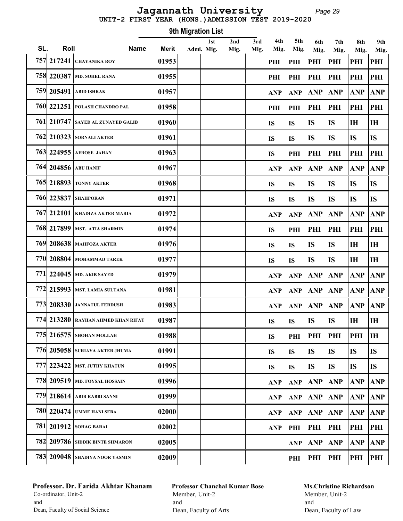#### Page 29 UNIT-2 FIRST YEAR (HONS.)ADMISSION TEST 2019-2020 Jagannath University

Roll Name Merit 1st SL. Roll Mame Merit Admi. Mig. 9th Migration List 2nd Mig. 3rd Mig. 4th Mig. 5th Mig. 6th Mig. 7th Mig. 8th Mig. 9th Mig. 757 217241 CHAYANIKA ROY 01953 PHI PHI PHI PHI PHI PHI 758 220387 MD. SOHEL RANA 01955 PHI PHI PHI PHI PHI PHI 759 205491 ABID ISHRAK 01957 ANP ANP ANP ANP ANP ANP 760 221251 POLASH CHANDRO PAL 01958 PHI PHI PHI PHI PHI PHI 761 210747 SAYED AL ZUNAYED GALIB 01960 IS IS IS IS IH IH 762 210323 SORNALI AKTER 01961 IS IS IS IS IS IS 763 224955 AFROSE JAHAN 01963 IS PHI PHI PHI PHI PHI 764 204856 ABU HANIF 01967 ANP ANP ANP ANP ANP ANP 765 218893 | tonny akter | 01968 | IS |IS |IS |IS |IS 766 223837 Shahporan | 01971 | | | | | | |s |is |is |is |is |is 767 212101 KHADIZA AKTER MARIA 01972 ANP ANP ANP ANP ANP ANP 768 217899 MST. ATIA SHARMIN 01974 IS PHI PHI PHI PHI PHI 769 208638 MAHFOZA AKTER 01976 IS IS IS IS IH IH 770 208804 MOHAMMAD TAREK 01977 IS IS IS IS IH IH 771 224045 MD. AKIB SAYED 01979 ANP ANP ANP ANP ANP ANP 772 215993 MST. LAMIA SULTANA 01981 ANP ANP ANP ANP ANP ANP 773 208330 JANNATUL FERDUSH 01983 ANP ANP ANP ANP ANP ANP 774 213280 RAYHAN AHMED KHAN RIFAT | 01987 | | | | | | IS | IS | IS | IH | IH 775 216575 SHOHAN MOLLAH 01988 IS PHI PHI PHI PHI IH 776 205058 SURIAYA AKTER JHUMA 01991 IS IS IS IS IS IS 777 223422 MST. JUTHY KHATUN 01995 IS IS IS IS IS IS 778 209519 MD. FOYSAL HOSSAIN 01996 ANP ANP ANP ANP ANP ANP 779 218614 ABIR RABBI SANNI 01999 ANP ANP ANP ANP ANP ANP 780 220474 UMME HANI SEBA 02000 ANP ANP ANP ANP ANP ANP 781 201912 SOHAG BARAI 02002 ANP PHI PHI PHI PHI PHI 782 209786 SIDDIK BINTE SHMARON  $\vert$  02005  $\vert$   $\vert$   $\vert$   $\vert$   $\vert$   $\vert$  anp anp anp anp anp anp  $\vert$ 783 209048 SHADIYA NOOR YASMIN 02009 PHI PHI PHI PHI PHI

# Professor. Dr. Farida Akhtar Khanam Co-ordinator, Unit-2 and Dean, Faculty of Social Science

Professor Chanchal Kumar Bose Member, Unit-2 and Dean, Faculty of Arts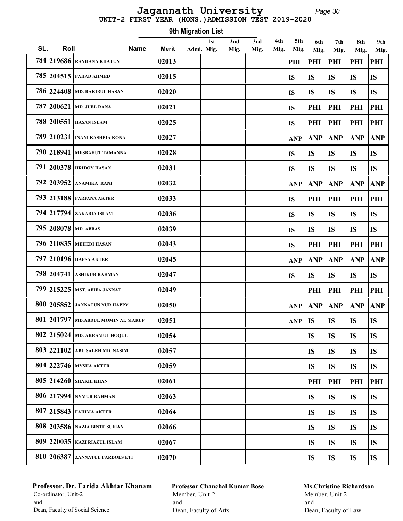#### Page 30 UNIT-2 FIRST YEAR (HONS.)ADMISSION TEST 2019-2020 Jagannath University

Roll Name Merit 1st SL. Roll Mame Merit Admi. Mig. 9th Migration List 2nd Mig. 3rd Mig. 4th Mig. 5th Mig. 6th Mig. 7th Mig. 8th Mig. 9th Mig. 784 219686 RAYHANA KHATUN 02013 PHI PHI PHI PHI PHI 785 204515 FAHAD AHMED 02015 IS IS IS IS IS 786 224408 MD. RAKIBUL HASAN 02020 IS IS IS IS IS 787 200621 MD. JUEL RANA 02021 IS PHI PHI PHI PHI 788 200551 HASAN ISLAM 02025 IS PHI PHI PHI PHI 789 210231 INANI KASHPIA KONA 02027 ANP ANP ANP ANP ANP 790 218941 MESBAHUT TAMANNA | 02028 | | | | | | | | |S | | |S | | |S | | |S | | |S 791 200378 HRIDOY HASAN 02031 IS IS IS IS IS 792 203952 ANAMIKA RANI 02032 ANP ANP ANP ANP ANP 793 213188 FARJANA AKTER 02033 IS PHI PHI PHI PHI 794 217794 ZAKARIA ISLAM 02036 IS IS IS IS IS 795 208078 MD. ABBAS 02039 IS IS IS IS IS 796 210835 MEHEDI HASAN 02043 IS PHI PHI PHI PHI 797 210196 HAFSA AKTER  $\vert$  02045  $\vert$   $\vert$   $\vert$   $\vert$   $\vert$   $\vert$  anp anp anp anp anp  $\vert$ 798| 204741 | ASHIKUR RAHMAN | 02047 | | | | | | | | | | | | | | | | | | | | | | | | | | | | | | | | | | | 799 215225 MST. AFIFA JANNAT 02049 PHI PHI PHI PHI 800 205852 JANNATUN NUR HAPPY 02050 ANP ANP ANP ANP ANP 801 201797 MD.ABDUL MOMIN AL MARUF 02051 ANP IS IS IS IS 802 215024 MD. AKRAMUL HOQUE | 02054 | | | | | | | | |S | |S | |S | |S 803 221102 ABU SALEH MD. NASIM 02057 IS IS IS IS 804 222746 MYSHA AKTER | 02059 | | | | | | | | |S | |S | |S | |S 805 214260 SHAKIL KHAN 02061 PHI PHI PHI PHI 806 217994 NYMUR RAHMAN | 02063 | | | | | | | | |S | |S | |S | |S 807 215843 FAHIMA AKTER 02064 IS IS IS IS 808 203586 NAZIA BINTE SUFIAN | 02066 | | | | | | | | | |S | | |S | | |S | | |S 809 220035 KAZI RIAZUL ISLAM 02067 IS IS IS IS 810 206387 ZANNATUL FARDOES ETI 02070 IS IS IS IS

# Professor. Dr. Farida Akhtar Khanam Co-ordinator, Unit-2 and Dean, Faculty of Social Science

Professor Chanchal Kumar Bose Member, Unit-2 and Dean, Faculty of Arts